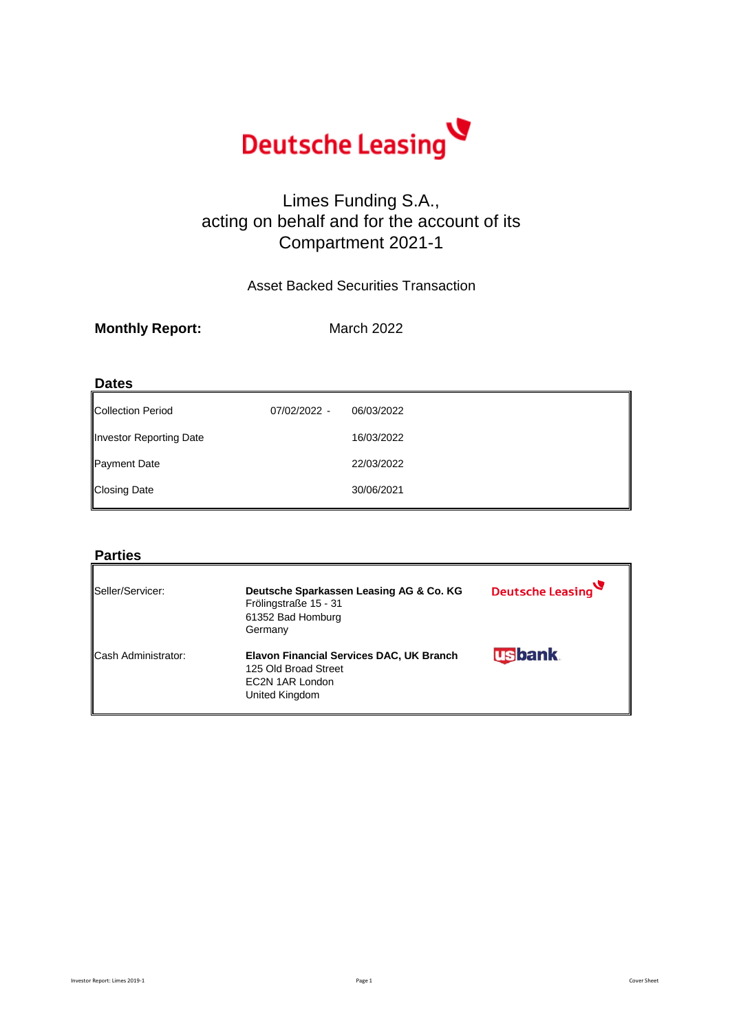

### Limes Funding S.A., acting on behalf and for the account of its Compartment 2021-1

### Asset Backed Securities Transaction

March 2022

### **Dates**

| Collection Period       | 07/02/2022 - | 06/03/2022 |
|-------------------------|--------------|------------|
| Investor Reporting Date |              | 16/03/2022 |
| Payment Date            |              | 22/03/2022 |
| <b>Closing Date</b>     |              | 30/06/2021 |

### **Parties**

| Seller/Servicer:           | Deutsche Sparkassen Leasing AG & Co. KG<br>Frölingstraße 15 - 31<br>61352 Bad Homburg<br>Germany      | Deutsche Leasing |
|----------------------------|-------------------------------------------------------------------------------------------------------|------------------|
| <b>Cash Administrator:</b> | Elavon Financial Services DAC, UK Branch<br>125 Old Broad Street<br>EC2N 1AR London<br>United Kingdom | <b>usbank</b>    |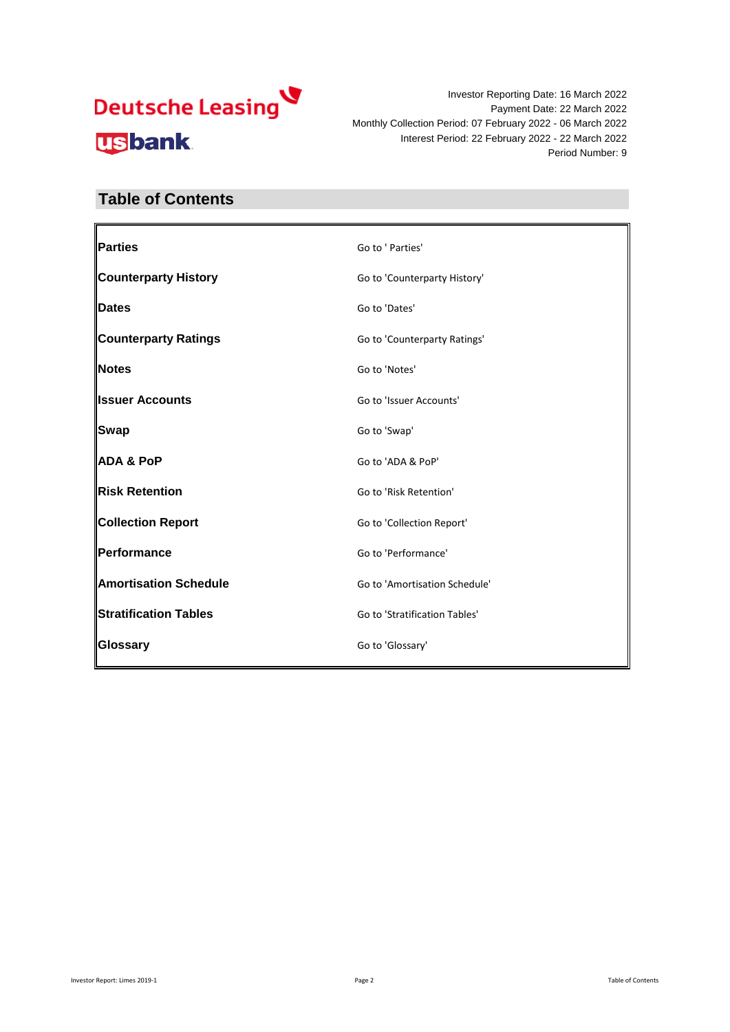Investor Reporting Date: 16 March 2022 Payment Date: 22 March 2022 Monthly Collection Period: 07 February 2022 - 06 March 2022 Interest Period: 22 February 2022 - 22 March 2022 Period Number: 9

### **Table of Contents**

| Parties                      | Go to ' Parties'              |
|------------------------------|-------------------------------|
| <b>Counterparty History</b>  | Go to 'Counterparty History'  |
| Dates                        | Go to 'Dates'                 |
| <b>Counterparty Ratings</b>  | Go to 'Counterparty Ratings'  |
| Notes                        | Go to 'Notes'                 |
| <b>Ilssuer Accounts</b>      | Go to 'Issuer Accounts'       |
| <b>Swap</b>                  | Go to 'Swap'                  |
| <b>ADA &amp; PoP</b>         | Go to 'ADA & PoP'             |
| <b>Risk Retention</b>        | Go to 'Risk Retention'        |
| <b>Collection Report</b>     | Go to 'Collection Report'     |
| Performance                  | Go to 'Performance'           |
| <b>Amortisation Schedule</b> | Go to 'Amortisation Schedule' |
| <b>Stratification Tables</b> | Go to 'Stratification Tables' |
| Glossary                     | Go to 'Glossary'              |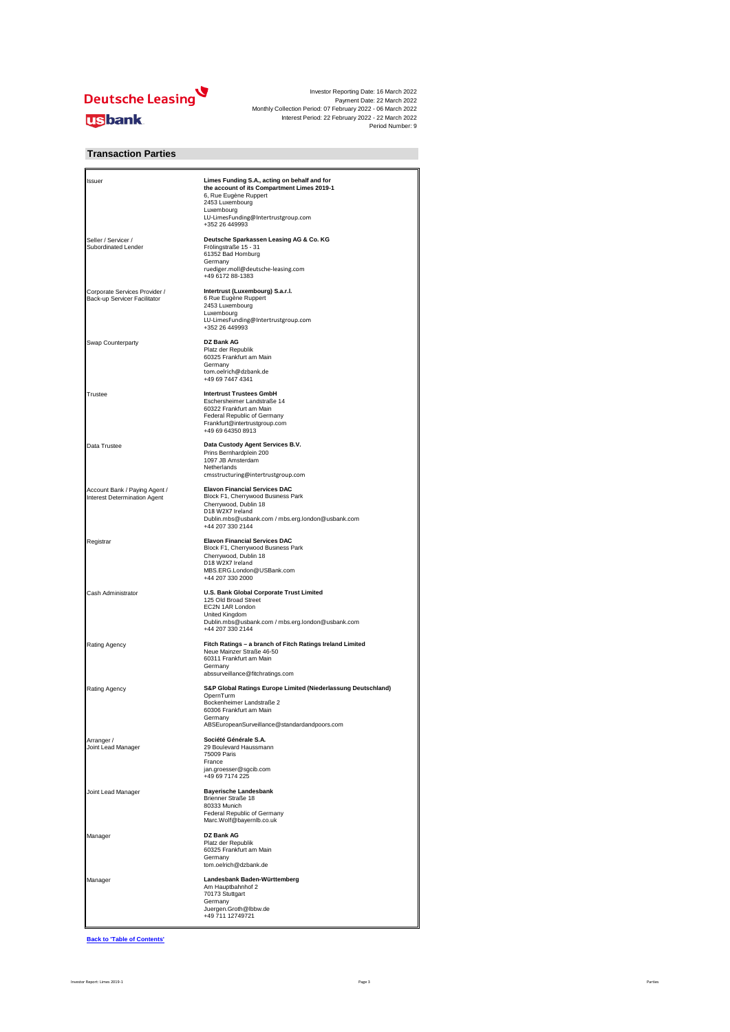

#### **Transaction Parties**

| Issuer                                                        | Limes Funding S.A., acting on behalf and for<br>the account of its Compartment Limes 2019-1<br>6, Rue Eugène Ruppert<br>2453 Luxembourg<br>Luxembourg<br>LU-LimesFunding@Intertrustgroup.com<br>+352 26 449993 |
|---------------------------------------------------------------|----------------------------------------------------------------------------------------------------------------------------------------------------------------------------------------------------------------|
| Seller / Servicer /<br>Subordinated Lender                    | Deutsche Sparkassen Leasing AG & Co. KG<br>Frölingstraße 15 - 31<br>61352 Bad Homburg<br>Germany<br>ruediger.moll@deutsche-leasing.com<br>+49 6172 88-1383                                                     |
| Corporate Services Provider /<br>Back-up Servicer Facilitator | Intertrust (Luxembourg) S.a.r.l.<br>6 Rue Eugène Ruppert<br>2453 Luxembourg<br>Luxembourg<br>LU-LimesFunding@Intertrustgroup.com<br>+352 26 449993                                                             |
| Swap Counterparty                                             | DZ Bank AG<br>Platz der Republik<br>60325 Frankfurt am Main<br>Germany<br>tom.oelrich@dzbank.de<br>+49 69 7447 4341                                                                                            |
| Trustee                                                       | <b>Intertrust Trustees GmbH</b><br>Eschersheimer Landstraße 14<br>60322 Frankfurt am Main<br>Federal Republic of Germany<br>Frankfurt@intertrustgroup.com<br>+49 69 64350 8913                                 |
| Data Trustee                                                  | Data Custody Agent Services B.V.<br>Prins Bernhardplein 200<br>1097 JB Amsterdam<br>Netherlands<br>cmsstructuring@intertrustgroup.com                                                                          |
| Account Bank / Paying Agent /<br>Interest Determination Agent | <b>Elavon Financial Services DAC</b><br>Block F1, Cherrywood Business Park<br>Cherrywood, Dublin 18<br>D18 W2X7 Ireland<br>Dublin.mbs@usbank.com / mbs.erg.london@usbank.com<br>+44 207 330 2144               |
| Registrar                                                     | <b>Elavon Financial Services DAC</b><br>Block F1, Cherrywood Business Park<br>Cherrywood, Dublin 18<br>D18 W2X7 Ireland<br>MBS.ERG.London@USBank.com<br>+44 207 330 2000                                       |
| Cash Administrator                                            | U.S. Bank Global Corporate Trust Limited<br>125 Old Broad Street<br>EC2N 1AR London<br>United Kingdom<br>Dublin.mbs@usbank.com / mbs.erg.london@usbank.com<br>+44 207 330 2144                                 |
| Rating Agency                                                 | Fitch Ratings - a branch of Fitch Ratings Ireland Limited<br>Neue Mainzer Straße 46-50<br>60311 Frankfurt am Main<br>Germany<br>abssurveillance@fitchratings.com                                               |
| Rating Agency                                                 | S&P Global Ratings Europe Limited (Niederlassung Deutschland)<br>OpernTurm<br>Bockenheimer Landstraße 2<br>60306 Frankfurt am Main<br>Germany<br>ABSEuropeanSurveillance@standardandpoors.com                  |
| Arranger /<br>Joint Lead Manager                              | Société Générale S.A.<br>29 Boulevard Haussmann<br>75009 Paris<br>France<br>jan.groesser@sgcib.com<br>+49 69 7174 225                                                                                          |
| Joint Lead Manager                                            | <b>Bayerische Landesbank</b><br>Brienner Straße 18<br>80333 Munich<br>Federal Republic of Germany<br>Marc.Wolf@bayernlb.co.uk                                                                                  |
| Manager                                                       | DZ Bank AG<br>Platz der Republik<br>60325 Frankfurt am Main<br>Germany<br>tom.oelrich@dzbank.de                                                                                                                |
| Manager                                                       | Landesbank Baden-Württemberg<br>Am Hauptbahnhof 2<br>70173 Stuttgart<br>Germany<br>Juergen.Groth@lbbw.de<br>+49 711 12749721                                                                                   |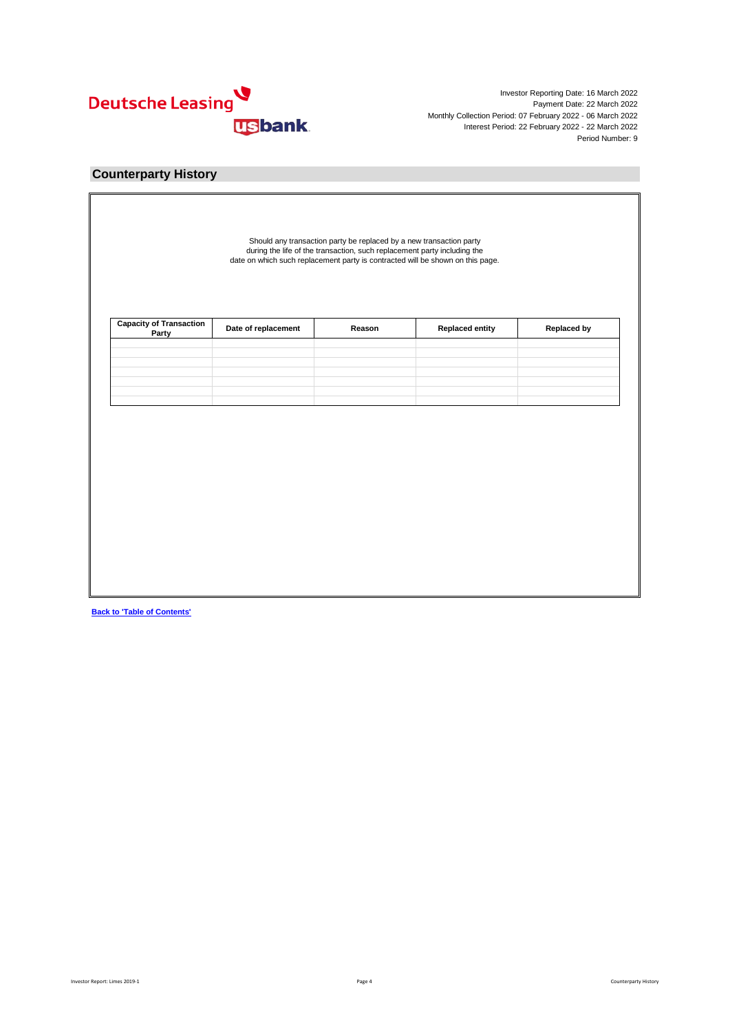

### **Counterparty History**

|  | Date of replacement | <b>Capacity of Transaction</b><br>Party |
|--|---------------------|-----------------------------------------|
|  |                     |                                         |
|  |                     |                                         |
|  |                     |                                         |
|  |                     |                                         |
|  |                     |                                         |
|  |                     |                                         |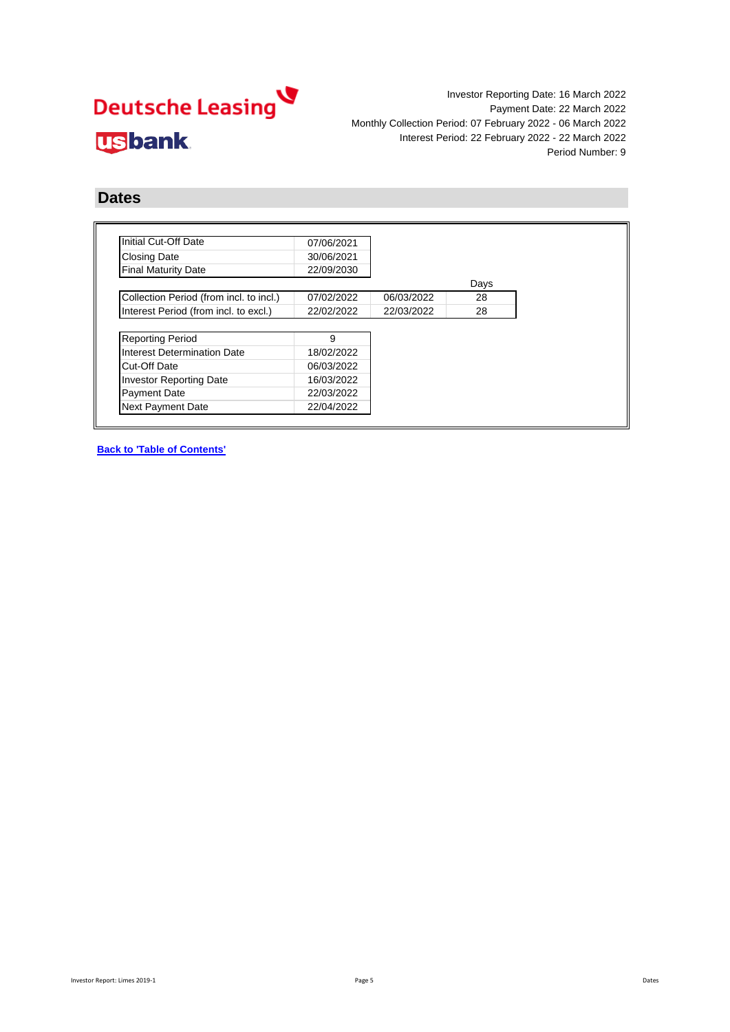Investor Reporting Date: 16 March 2022 Payment Date: 22 March 2022 Monthly Collection Period: 07 February 2022 - 06 March 2022 Interest Period: 22 February 2022 - 22 March 2022 Period Number: 9

### **Dates**

| Initial Cut-Off Date                    | 07/06/2021 |            |      |
|-----------------------------------------|------------|------------|------|
| <b>Closing Date</b>                     | 30/06/2021 |            |      |
| <b>Final Maturity Date</b>              | 22/09/2030 |            |      |
|                                         |            |            | Days |
| Collection Period (from incl. to incl.) | 07/02/2022 | 06/03/2022 | 28   |
| Interest Period (from incl. to excl.)   | 22/02/2022 | 22/03/2022 | 28   |
|                                         |            |            |      |
| <b>Reporting Period</b>                 | 9          |            |      |
| Interest Determination Date             | 18/02/2022 |            |      |
| Cut-Off Date                            | 06/03/2022 |            |      |
| <b>Investor Reporting Date</b>          | 16/03/2022 |            |      |
| <b>Payment Date</b>                     | 22/03/2022 |            |      |
| <b>Next Payment Date</b>                | 22/04/2022 |            |      |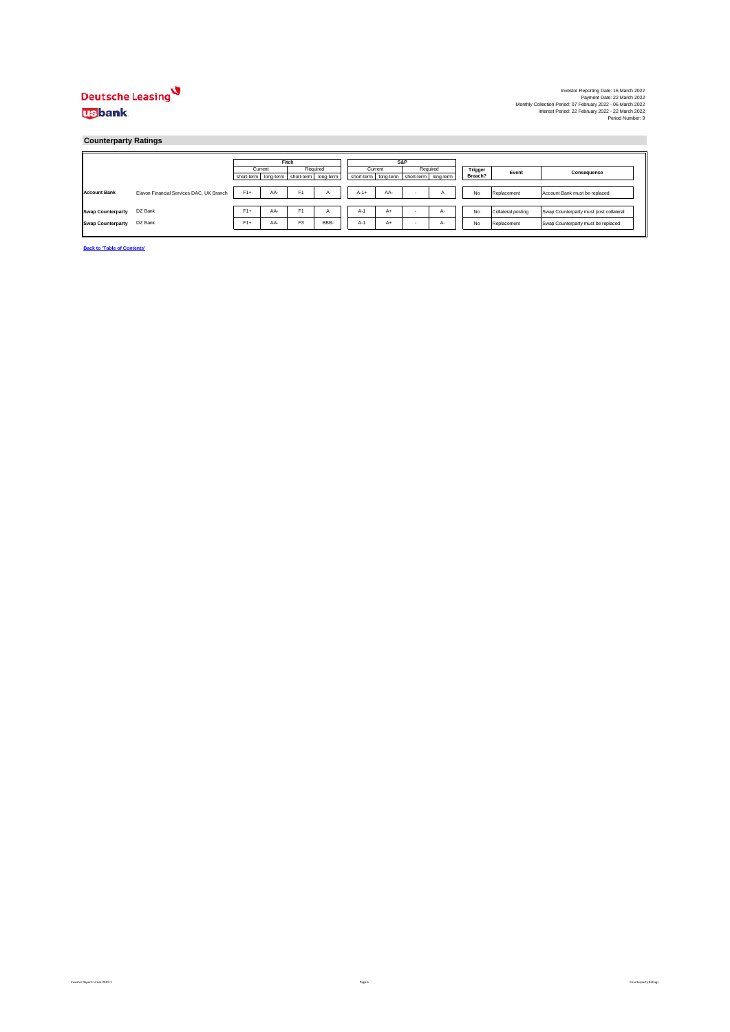Investor Reporting Date: 16 March 2022<br>Payment Date: 22 March 2022<br>Interest Period: 07 February 2022 - 06 March 2022<br>Interest Period: 22 February 2022 - 22 March 2022<br>Period Number: 9<br>Period Number:

#### **Counterparty Ratings**

|                          |                                          |            | Fitch |                                |          |                            |                                                 |     |    |  |         |                    |                                        |
|--------------------------|------------------------------------------|------------|-------|--------------------------------|----------|----------------------------|-------------------------------------------------|-----|----|--|---------|--------------------|----------------------------------------|
|                          |                                          |            |       |                                |          | S&P<br>Required<br>Current |                                                 |     |    |  |         |                    |                                        |
|                          |                                          | Current    |       |                                | Required |                            |                                                 |     |    |  | Trigger | Event              | Consequence                            |
|                          |                                          | short-term |       | long-term short-term long-term |          |                            | short-term   long-term   short-term   long-term |     |    |  | Breach? |                    |                                        |
|                          |                                          |            |       |                                |          |                            |                                                 |     |    |  |         |                    |                                        |
| <b>Account Bank</b>      | Elavon Financial Services DAC, UK Branch | $F1+$      | AA-   | F <sub>1</sub>                 | A        | $A-1+$                     | AA-                                             | - 6 | ñ  |  | No      | Replacement        | Account Bank must be replaced          |
|                          |                                          |            |       |                                |          |                            |                                                 |     |    |  |         |                    |                                        |
|                          |                                          |            |       |                                |          |                            |                                                 |     |    |  |         |                    |                                        |
| <b>Swap Counterparty</b> | DZ Bank                                  | $F1+$      | AA-   | F <sub>1</sub>                 | A        | $A-1$                      | $A+$                                            |     | А- |  | No      | Collateral posting | Swap Counterparty must post collateral |
|                          |                                          |            |       |                                |          |                            |                                                 |     |    |  |         |                    |                                        |
| <b>Swap Counterparty</b> | DZ Bank                                  | $F1+$      | AA-   | F <sub>3</sub>                 | BBB-     | $A-1$                      | $A+$                                            |     | A- |  | No      | Replacement        | Swap Counterparty must be replaced     |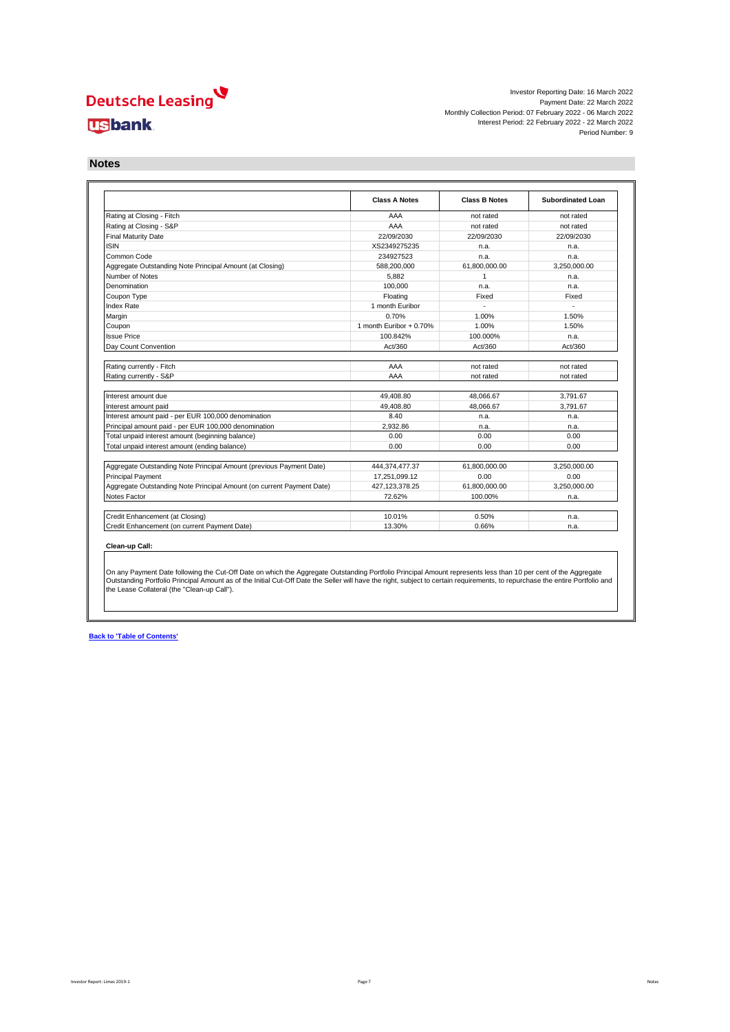Investor Reporting Date: 16 March 2022 Payment Date: 22 March 2022 Monthly Collection Period: 07 February 2022 - 06 March 2022 Interest Period: 22 February 2022 - 22 March 2022 Period Number: 9

**Notes**

|                                                                                                                                                                                                                    | <b>Class A Notes</b>     | <b>Class B Notes</b>   | Subordinated Loan    |
|--------------------------------------------------------------------------------------------------------------------------------------------------------------------------------------------------------------------|--------------------------|------------------------|----------------------|
| Rating at Closing - Fitch                                                                                                                                                                                          | AAA                      | not rated              | not rated            |
| Rating at Closing - S&P                                                                                                                                                                                            | AAA                      | not rated              | not rated            |
| <b>Final Maturity Date</b>                                                                                                                                                                                         | 22/09/2030               | 22/09/2030             | 22/09/2030           |
| <b>ISIN</b>                                                                                                                                                                                                        | XS2349275235             | n.a.                   | n.a.                 |
| Common Code                                                                                                                                                                                                        | 234927523                | n.a.                   | n.a.                 |
| Aggregate Outstanding Note Principal Amount (at Closing)                                                                                                                                                           | 588.200.000              | 61.800.000.00          | 3.250.000.00         |
| Number of Notes                                                                                                                                                                                                    | 5.882                    | $\overline{1}$         | n.a.                 |
| Denomination                                                                                                                                                                                                       | 100.000                  | n.a.                   | n.a.                 |
| Coupon Type                                                                                                                                                                                                        | Floating                 | Fixed                  | Fixed                |
| <b>Index Rate</b>                                                                                                                                                                                                  | 1 month Euribor          |                        |                      |
| Margin                                                                                                                                                                                                             | 0.70%                    | 1.00%                  | 1.50%                |
| Coupon                                                                                                                                                                                                             | 1 month Euribor $+0.70%$ | 1.00%                  | 1.50%                |
| <b>Issue Price</b>                                                                                                                                                                                                 | 100.842%                 | 100.000%               | n.a.                 |
| Dav Count Convention                                                                                                                                                                                               | Act/360                  | Act/360                | Act/360              |
| Rating currently - S&P                                                                                                                                                                                             | AAA                      | not rated              | not rated            |
|                                                                                                                                                                                                                    |                          |                        |                      |
| Interest amount due                                                                                                                                                                                                | 49.408.80                | 48.066.67<br>48.066.67 | 3.791.67<br>3.791.67 |
|                                                                                                                                                                                                                    |                          |                        |                      |
|                                                                                                                                                                                                                    | 49.408.80                |                        |                      |
|                                                                                                                                                                                                                    | 8.40                     | n.a.                   | n.a.                 |
| Interest amount paid<br>Interest amount paid - per EUR 100,000 denomination<br>Principal amount paid - per EUR 100,000 denomination                                                                                | 2.932.86                 | n.a.                   | n.a.                 |
| Total unpaid interest amount (beginning balance)                                                                                                                                                                   | 0.00                     | 0.00                   | 0.00                 |
|                                                                                                                                                                                                                    | 0.00                     | 0.00                   | 0.00                 |
|                                                                                                                                                                                                                    | 444,374,477.37           | 61.800.000.00          | 3.250.000.00         |
|                                                                                                                                                                                                                    | 17.251.099.12            | 0.00                   | 0.00                 |
| Total unpaid interest amount (ending balance)<br>Aggregate Outstanding Note Principal Amount (previous Payment Date)<br>Principal Payment<br>Aggregate Outstanding Note Principal Amount (on current Payment Date) | 427, 123, 378.25         | 61,800,000.00          | 3,250,000.00         |
|                                                                                                                                                                                                                    | 72.62%                   | 100.00%                | n.a.                 |
| Notes Factor<br>Credit Enhancement (at Closing)                                                                                                                                                                    | 10.01%                   | 0.50%                  | n.a.                 |

On any Payment Date following the Cut-Off Date on which the Aggregate Outstanding Portfolio Principal Amount represents less than 10 per cent of the Aggregate<br>Outstanding Portfolio Principal Amount as of the Initial Cut-O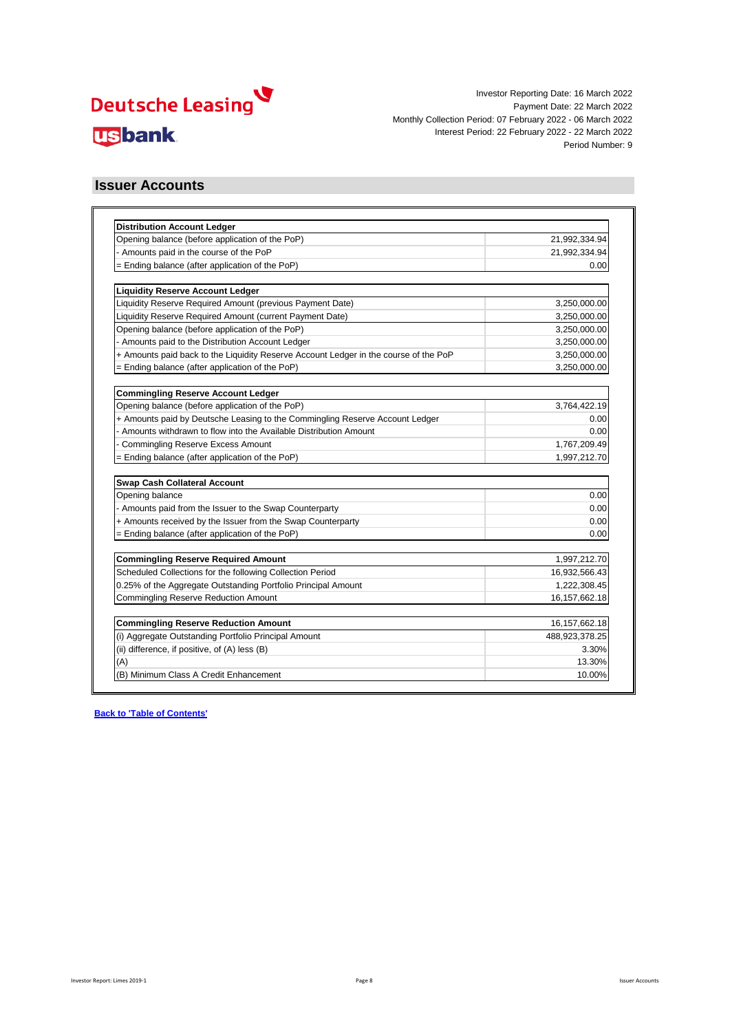

### **Issuer Accounts**

| <b>Distribution Account Ledger</b>                                                   |                  |
|--------------------------------------------------------------------------------------|------------------|
| Opening balance (before application of the PoP)                                      | 21,992,334.94    |
| - Amounts paid in the course of the PoP                                              | 21,992,334.94    |
| = Ending balance (after application of the PoP)                                      | 0.00             |
|                                                                                      |                  |
| <b>Liquidity Reserve Account Ledger</b>                                              |                  |
| Liquidity Reserve Required Amount (previous Payment Date)                            | 3,250,000.00     |
| Liquidity Reserve Required Amount (current Payment Date)                             | 3,250,000.00     |
| Opening balance (before application of the PoP)                                      | 3,250,000.00     |
| - Amounts paid to the Distribution Account Ledger                                    | 3,250,000.00     |
| + Amounts paid back to the Liquidity Reserve Account Ledger in the course of the PoP | 3,250,000.00     |
| $=$ Ending balance (after application of the PoP)                                    | 3,250,000.00     |
|                                                                                      |                  |
| <b>Commingling Reserve Account Ledger</b>                                            |                  |
| Opening balance (before application of the PoP)                                      | 3,764,422.19     |
| + Amounts paid by Deutsche Leasing to the Commingling Reserve Account Ledger         | 0.00             |
| - Amounts withdrawn to flow into the Available Distribution Amount                   | 0.00             |
| <b>Commingling Reserve Excess Amount</b>                                             | 1,767,209.49     |
| $=$ Ending balance (after application of the PoP)                                    | 1,997,212.70     |
| <b>Swap Cash Collateral Account</b>                                                  |                  |
| Opening balance                                                                      | 0.00             |
| - Amounts paid from the Issuer to the Swap Counterparty                              | 0.00             |
| + Amounts received by the Issuer from the Swap Counterparty                          | 0.00             |
| $=$ Ending balance (after application of the PoP)                                    | 0.00             |
|                                                                                      |                  |
| <b>Commingling Reserve Required Amount</b>                                           | 1,997,212.70     |
| Scheduled Collections for the following Collection Period                            | 16,932,566.43    |
| 0.25% of the Aggregate Outstanding Portfolio Principal Amount                        | 1,222,308.45     |
| <b>Commingling Reserve Reduction Amount</b>                                          | 16, 157, 662. 18 |
|                                                                                      |                  |
| <b>Commingling Reserve Reduction Amount</b>                                          | 16, 157, 662. 18 |
| (i) Aggregate Outstanding Portfolio Principal Amount                                 | 488,923,378.25   |
| (ii) difference, if positive, of (A) less (B)                                        | 3.30%            |
| (A)                                                                                  | 13.30%           |
| (B) Minimum Class A Credit Enhancement                                               | 10.00%           |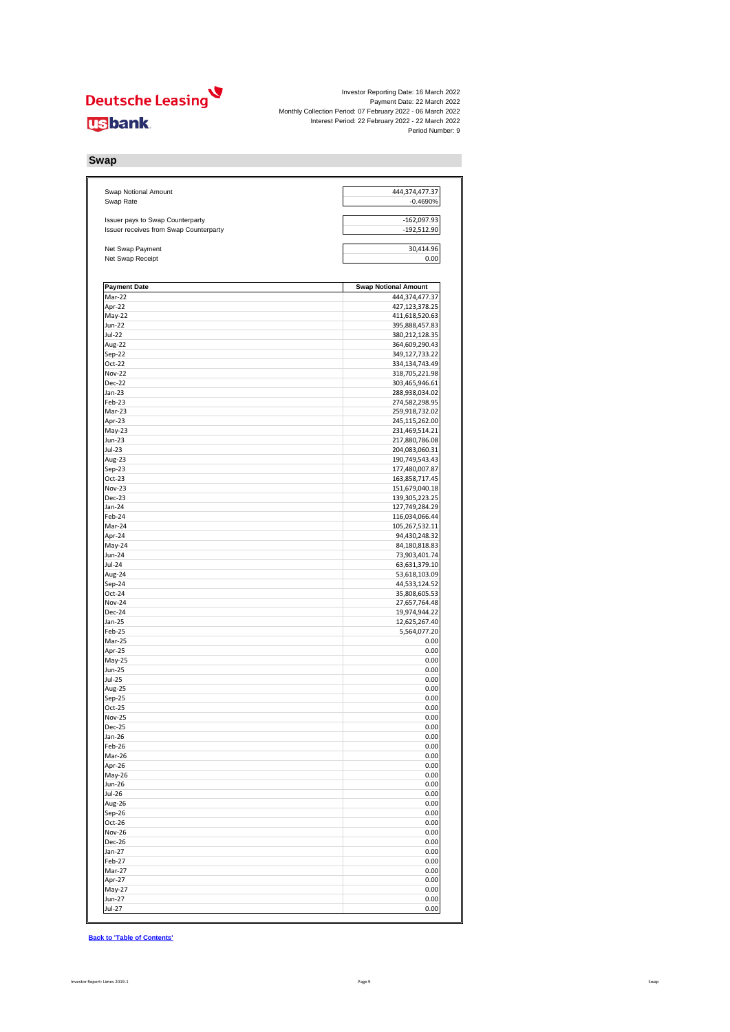Investor Reporting Date: 16 March 2022<br>Payment Date: 22 March 2022<br>Interest Period: 07 February 2022 - 06 March 2022<br>Interest Period: 22 February 2022 - 22 March 2022<br>Period Number: 9

#### **Swap**

| Swap Notional Amount<br>Swap Rate      | 444,374,477.37<br>$-0.4690%$     |
|----------------------------------------|----------------------------------|
|                                        |                                  |
| Issuer pays to Swap Counterparty       | $-162,097.93$                    |
| Issuer receives from Swap Counterparty | $-192,512.90$                    |
| Net Swap Payment                       | 30,414.96                        |
| Net Swap Receipt                       | 0.00                             |
| <b>Payment Date</b>                    | <b>Swap Notional Amount</b>      |
| $\overline{M}$ ar-22                   | 444,374,477.37                   |
| Apr-22                                 | 427,123,378.25                   |
| May-22                                 | 411,618,520.63                   |
| <b>Jun-22</b>                          | 395,888,457.83                   |
| Jul-22                                 | 380,212,128.35                   |
| Aug-22                                 | 364,609,290.43                   |
| Sep-22                                 | 349,127,733.22                   |
| Oct-22                                 | 334,134,743.49                   |
| <b>Nov-22</b>                          | 318,705,221.98                   |
| Dec-22                                 | 303,465,946.61                   |
| Jan-23                                 | 288,938,034.02                   |
| Feb-23                                 | 274,582,298.95                   |
| Mar-23<br>Apr-23                       | 259,918,732.02<br>245,115,262.00 |
| May-23                                 | 231,469,514.21                   |
| Jun-23                                 | 217,880,786.08                   |
| $Jul-23$                               | 204,083,060.31                   |
| Aug-23                                 | 190,749,543.43                   |
| $Sep-23$                               | 177,480,007.87                   |
| Oct-23                                 | 163,858,717.45                   |
| Nov-23                                 | 151,679,040.18                   |
| Dec-23                                 | 139,305,223.25                   |
| Jan-24                                 | 127,749,284.29                   |
| Feb-24                                 | 116,034,066.44                   |
| Mar-24                                 | 105,267,532.11                   |
| Apr-24                                 | 94,430,248.32                    |
| May-24                                 | 84,180,818.83                    |
| Jun-24                                 | 73,903,401.74                    |
| Jul-24<br>Aug-24                       | 63,631,379.10<br>53,618,103.09   |
| Sep-24                                 | 44,533,124.52                    |
| Oct-24                                 | 35,808,605.53                    |
| <b>Nov-24</b>                          | 27,657,764.48                    |
| Dec-24                                 | 19,974,944.22                    |
| Jan-25                                 | 12,625,267.40                    |
| Feb-25                                 | 5,564,077.20                     |
| Mar-25                                 | 0.00                             |
| Apr-25                                 | 0.00                             |
| May-25                                 | 0.00                             |
| Jun-25                                 | 0.00                             |
| Jul-25                                 | 0.00                             |
| Aug-25                                 | 0.00                             |
| Sep-25<br>Oct-25                       | 0.00<br>0.00                     |
| <b>Nov-25</b>                          | 0.00                             |
| <b>Dec-25</b>                          | 0.00                             |
| Jan-26                                 | 0.00                             |
| Feb-26                                 | 0.00                             |
| Mar-26                                 | 0.00                             |
| Apr-26                                 | 0.00                             |
| May-26                                 | 0.00                             |
| Jun-26                                 | 0.00                             |
| Jul-26                                 | 0.00                             |
| Aug-26                                 | 0.00                             |
| $Sep-26$                               | 0.00                             |
| Oct-26                                 | 0.00                             |
| <b>Nov-26</b>                          | 0.00                             |
| Dec-26                                 | 0.00                             |
| $Jan-27$                               | 0.00                             |
| Feb-27<br>Mar-27                       | 0.00<br>0.00                     |
| Apr-27                                 | 0.00                             |
| May-27                                 | 0.00                             |
| Jun-27                                 | 0.00                             |
| Jul-27                                 | 0.00                             |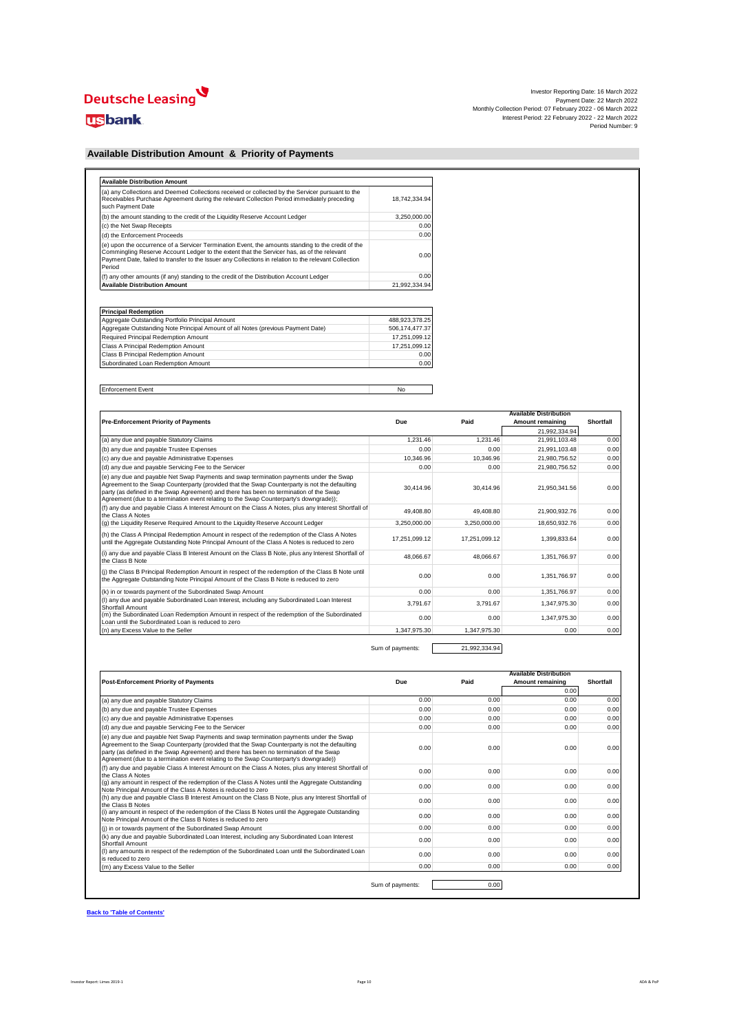# Deutsche Leasing

### **usbank**

| Investor Reporting Date: 16 March 2022                      |  |
|-------------------------------------------------------------|--|
| Payment Date: 22 March 2022                                 |  |
| Monthly Collection Period: 07 February 2022 - 06 March 2022 |  |
| Interest Period: 22 February 2022 - 22 March 2022           |  |
| Period Number: 9                                            |  |

### **Available Distribution Amount & Priority of Payments**

| (a) any Collections and Deemed Collections received or collected by the Servicer pursuant to the<br>Receivables Purchase Agreement during the relevant Collection Period immediately preceding<br>such Payment Date                                                                                                 | 18.742.334.94 |
|---------------------------------------------------------------------------------------------------------------------------------------------------------------------------------------------------------------------------------------------------------------------------------------------------------------------|---------------|
| (b) the amount standing to the credit of the Liquidity Reserve Account Ledger                                                                                                                                                                                                                                       | 3.250.000.00  |
| (c) the Net Swap Receipts                                                                                                                                                                                                                                                                                           | 0.00          |
| (d) the Enforcement Proceeds                                                                                                                                                                                                                                                                                        | 0.00          |
| (e) upon the occurrence of a Servicer Termination Event, the amounts standing to the credit of the<br>Commingling Reserve Account Ledger to the extent that the Servicer has, as of the relevant<br>Payment Date, failed to transfer to the Issuer any Collections in relation to the relevant Collection<br>Period | 0.00          |
| (f) any other amounts (if any) standing to the credit of the Distribution Account Ledger                                                                                                                                                                                                                            | 0.00          |
| <b>Available Distribution Amount</b>                                                                                                                                                                                                                                                                                | 21.992.334.94 |

| <b>Principal Redemption</b>                                                      |                |
|----------------------------------------------------------------------------------|----------------|
| Aggregate Outstanding Portfolio Principal Amount                                 | 488.923.378.25 |
| Aggregate Outstanding Note Principal Amount of all Notes (previous Payment Date) | 506.174.477.37 |
| Required Principal Redemption Amount                                             | 17.251.099.12  |
| Class A Principal Redemption Amount                                              | 17.251.099.12  |
| Class B Principal Redemption Amount                                              | 0.00           |
| Subordinated Loan Redemption Amount                                              | 0.00           |

Enforcement Event No

|                                                                                                                                                                                                                                                                                                                                                                             |               |               | <b>Available Distribution</b> |           |
|-----------------------------------------------------------------------------------------------------------------------------------------------------------------------------------------------------------------------------------------------------------------------------------------------------------------------------------------------------------------------------|---------------|---------------|-------------------------------|-----------|
| <b>Pre-Enforcement Priority of Payments</b>                                                                                                                                                                                                                                                                                                                                 | Due           | Paid          | Amount remaining              | Shortfall |
|                                                                                                                                                                                                                                                                                                                                                                             |               |               | 21.992.334.94                 |           |
| (a) any due and payable Statutory Claims                                                                                                                                                                                                                                                                                                                                    | 1.231.46      | 1.231.46      | 21.991.103.48                 | 0.00      |
| (b) any due and payable Trustee Expenses                                                                                                                                                                                                                                                                                                                                    | 0.00          | 0.00          | 21,991,103.48                 | 0.00      |
| (c) any due and payable Administrative Expenses                                                                                                                                                                                                                                                                                                                             | 10.346.96     | 10.346.96     | 21,980,756.52                 | 0.00      |
| (d) any due and payable Servicing Fee to the Servicer                                                                                                                                                                                                                                                                                                                       | 0.00          | 0.00          | 21.980.756.52                 | 0.00      |
| (e) any due and payable Net Swap Payments and swap termination payments under the Swap<br>Agreement to the Swap Counterparty (provided that the Swap Counterparty is not the defaulting<br>party (as defined in the Swap Agreement) and there has been no termination of the Swap<br>Agreement (due to a termination event relating to the Swap Counterparty's downgrade)); | 30.414.96     | 30.414.96     | 21,950,341.56                 | 0.00      |
| (f) any due and payable Class A Interest Amount on the Class A Notes, plus any Interest Shortfall of<br>the Class A Notes                                                                                                                                                                                                                                                   | 49.408.80     | 49.408.80     | 21,900,932.76                 | 0.00      |
| (q) the Liquidity Reserve Required Amount to the Liquidity Reserve Account Ledger                                                                                                                                                                                                                                                                                           | 3.250.000.00  | 3.250.000.00  | 18.650.932.76                 | 0.00      |
| (h) the Class A Principal Redemption Amount in respect of the redemption of the Class A Notes<br>until the Aggregate Outstanding Note Principal Amount of the Class A Notes is reduced to zero                                                                                                                                                                              | 17.251.099.12 | 17,251,099.12 | 1,399,833.64                  | 0.00      |
| (i) any due and payable Class B Interest Amount on the Class B Note, plus any Interest Shortfall of<br>the Class B Note                                                                                                                                                                                                                                                     | 48.066.67     | 48.066.67     | 1,351,766.97                  | 0.00      |
| (i) the Class B Principal Redemption Amount in respect of the redemption of the Class B Note until<br>the Aggregate Outstanding Note Principal Amount of the Class B Note is reduced to zero                                                                                                                                                                                | 0.00          | 0.00          | 1,351,766.97                  | 0.00      |
| (k) in or towards payment of the Subordinated Swap Amount                                                                                                                                                                                                                                                                                                                   | 0.00          | 0.00          | 1.351.766.97                  | 0.00      |
| (I) any due and payable Subordinated Loan Interest, including any Subordinated Loan Interest<br>Shortfall Amount                                                                                                                                                                                                                                                            | 3.791.67      | 3.791.67      | 1,347,975.30                  | 0.00      |
| (m) the Subordinated Loan Redemption Amount in respect of the redemption of the Subordinated<br>Loan until the Subordinated Loan is reduced to zero.                                                                                                                                                                                                                        | 0.00          | 0.00          | 1,347,975.30                  | 0.00      |
| (n) any Excess Value to the Seller                                                                                                                                                                                                                                                                                                                                          | 1.347.975.30  | 1.347.975.30  | 0.00                          | 0.00      |

Sum of payments: 21,992,334.94

| <b>Due</b> | Paid             | Amount remaining | Shortfall |
|------------|------------------|------------------|-----------|
|            |                  | 0.00             |           |
| 0.00       | 0.00             | 0.00             | 0.00      |
| 0.00       | 0.00             | 0.00             | 0.00      |
| 0.00       | 0.00             | 0.00             | 0.00      |
| 0.00       | 0.00             | 0.00             | 0.00      |
| 0.00       | 0.00             | 0.00             | 0.00      |
| 0.00       | 0.00             | 0.00             | 0.00      |
| 0.00       | 0.00             | 0.00             | 0.00      |
| 0.00       | 0.00             | 0.00             | 0.00      |
| 0.00       | 0.00             | 0.00             | 0.00      |
| 0.00       | 0.00             | 0.00             | 0.00      |
| 0.00       | 0.00             | 0.00             | 0.00      |
| 0.00       | 0.00             | 0.00             | 0.00      |
| 0.00       | 0.00             | 0.00             | 0.00      |
|            |                  |                  |           |
|            | Sum of payments: | 0.00             |           |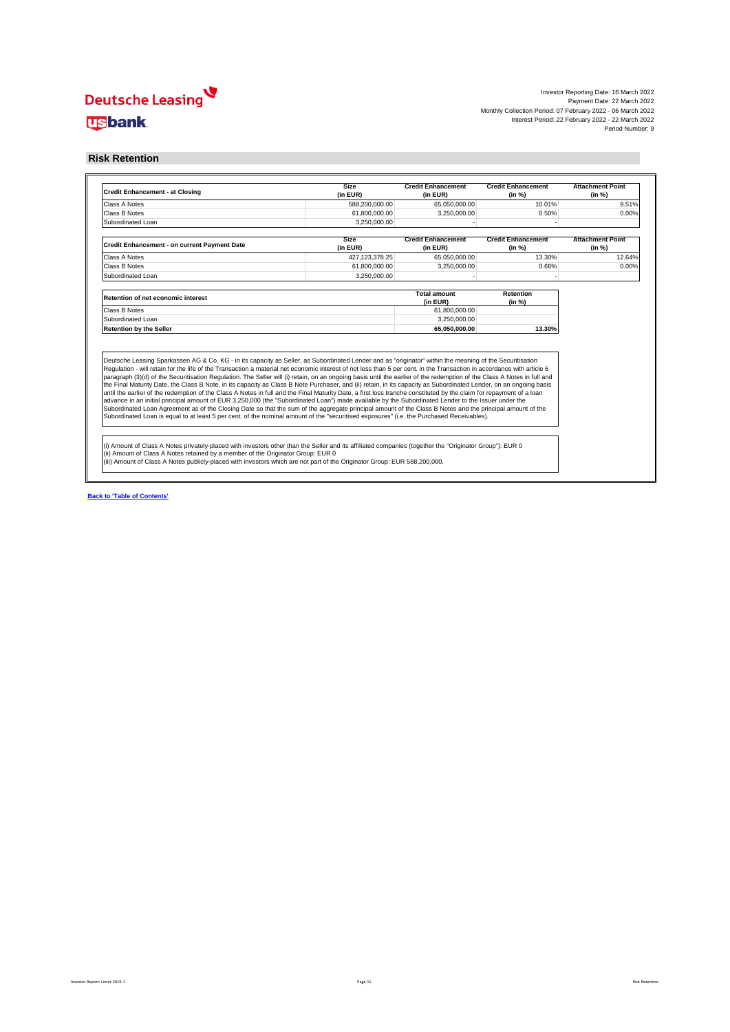Investor Reporting Date: 16 March 2022<br>Payment Date: 22 March 2022<br>Monthly Collection Period: 07 February 2022 - 06 March 202<br>Interest Period: 22 February 2022 - 06 March 2022<br>Period Number: 9

#### **Risk Retention**

| <b>Credit Enhancement - at Closing</b>                                                                                                                                                                                                                                                                                                                                                                                                                                                                                                                                                                                                                                                                                                                                                                                                                                                                                                                                                | <b>Size</b><br>(in EUR)         | <b>Credit Enhancement</b><br>(in EUR) | <b>Credit Enhancement</b><br>(in %) | <b>Attachment Point</b><br>(in %) |
|---------------------------------------------------------------------------------------------------------------------------------------------------------------------------------------------------------------------------------------------------------------------------------------------------------------------------------------------------------------------------------------------------------------------------------------------------------------------------------------------------------------------------------------------------------------------------------------------------------------------------------------------------------------------------------------------------------------------------------------------------------------------------------------------------------------------------------------------------------------------------------------------------------------------------------------------------------------------------------------|---------------------------------|---------------------------------------|-------------------------------------|-----------------------------------|
| Class A Notes                                                                                                                                                                                                                                                                                                                                                                                                                                                                                                                                                                                                                                                                                                                                                                                                                                                                                                                                                                         | 588,200,000.00                  | 65,050,000.00                         | 10.01%                              | 9.51%                             |
| Class B Notes                                                                                                                                                                                                                                                                                                                                                                                                                                                                                                                                                                                                                                                                                                                                                                                                                                                                                                                                                                         | 61,800,000.00                   | 3.250.000.00                          | 0.50%                               | 0.00%                             |
| Subordinated Loan                                                                                                                                                                                                                                                                                                                                                                                                                                                                                                                                                                                                                                                                                                                                                                                                                                                                                                                                                                     | 3.250.000.00                    |                                       |                                     |                                   |
| Credit Enhancement - on current Payment Date                                                                                                                                                                                                                                                                                                                                                                                                                                                                                                                                                                                                                                                                                                                                                                                                                                                                                                                                          | Size<br>(in EUR)                | <b>Credit Enhancement</b><br>(in EUR) | <b>Credit Enhancement</b><br>(in %) | <b>Attachment Point</b><br>(in %) |
| Class A Notes                                                                                                                                                                                                                                                                                                                                                                                                                                                                                                                                                                                                                                                                                                                                                                                                                                                                                                                                                                         | 427.123.378.25                  | 65,050,000.00                         | 13.30%                              | 12.64%                            |
| Class B Notes                                                                                                                                                                                                                                                                                                                                                                                                                                                                                                                                                                                                                                                                                                                                                                                                                                                                                                                                                                         | 61,800,000.00                   | 3,250,000.00                          | 0.66%                               | 0.00%                             |
| Subordinated Loan                                                                                                                                                                                                                                                                                                                                                                                                                                                                                                                                                                                                                                                                                                                                                                                                                                                                                                                                                                     | 3.250.000.00                    |                                       |                                     |                                   |
| Retention of net economic interest                                                                                                                                                                                                                                                                                                                                                                                                                                                                                                                                                                                                                                                                                                                                                                                                                                                                                                                                                    | <b>Total amount</b><br>(in EUR) | Retention<br>(in %)                   |                                     |                                   |
| Class B Notes                                                                                                                                                                                                                                                                                                                                                                                                                                                                                                                                                                                                                                                                                                                                                                                                                                                                                                                                                                         |                                 | 61,800,000.00                         |                                     |                                   |
| Subordinated Loan                                                                                                                                                                                                                                                                                                                                                                                                                                                                                                                                                                                                                                                                                                                                                                                                                                                                                                                                                                     |                                 | 3.250.000.00                          |                                     |                                   |
| <b>Retention by the Seller</b>                                                                                                                                                                                                                                                                                                                                                                                                                                                                                                                                                                                                                                                                                                                                                                                                                                                                                                                                                        | 65.050.000.00                   | 13.30%                                |                                     |                                   |
| Deutsche Leasing Sparkassen AG & Co. KG - in its capacity as Seller, as Subordinated Lender and as "originator" within the meaning of the Securitisation<br>Regulation - will retain for the life of the Transaction a material net economic interest of not less than 5 per cent. in the Transaction in accordance with article 6                                                                                                                                                                                                                                                                                                                                                                                                                                                                                                                                                                                                                                                    |                                 |                                       |                                     |                                   |
| paragraph (3)(d) of the Securitisation Regulation. The Seller will (i) retain, on an ongoing basis until the earlier of the redemption of the Class A Notes in full and<br>the Final Maturity Date, the Class B Note, in its capacity as Class B Note Purchaser, and (ii) retain, in its capacity as Subordinated Lender, on an ongoing basis<br>until the earlier of the redemption of the Class A Notes in full and the Final Maturity Date, a first loss tranche constituted by the claim for repayment of a loan<br>advance in an initial principal amount of EUR 3,250,000 (the "Subordinated Loan") made available by the Subordinated Lender to the Issuer under the<br>Subordinated Loan Agreement as of the Closing Date so that the sum of the aggregate principal amount of the Class B Notes and the principal amount of the<br>Subordinated Loan is equal to at least 5 per cent. of the nominal amount of the "securitised exposures" (i.e. the Purchased Receivables). |                                 |                                       |                                     |                                   |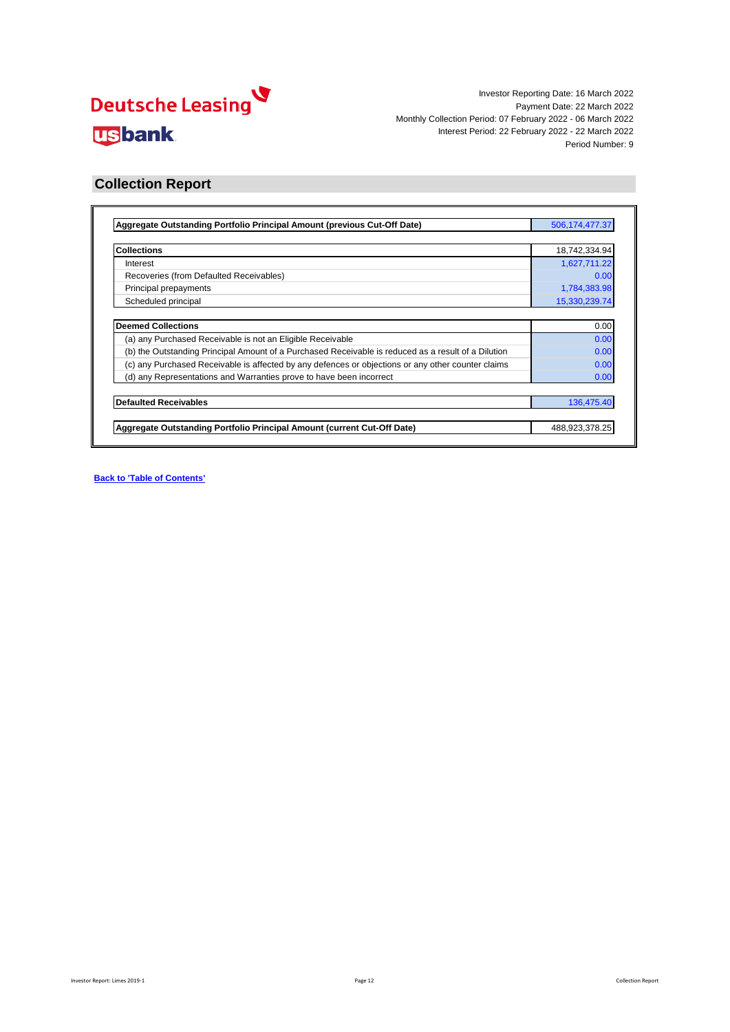

### **Collection Report**

| Aggregate Outstanding Portfolio Principal Amount (previous Cut-Off Date)                            | 506, 174, 477. 37 |
|-----------------------------------------------------------------------------------------------------|-------------------|
|                                                                                                     |                   |
| <b>Collections</b>                                                                                  | 18,742,334.94     |
| Interest                                                                                            | 1,627,711.22      |
| Recoveries (from Defaulted Receivables)                                                             | 0.00              |
| Principal prepayments                                                                               | 1,784,383.98      |
| Scheduled principal                                                                                 | 15,330,239.74     |
|                                                                                                     |                   |
| <b>Deemed Collections</b>                                                                           | 0.00              |
| (a) any Purchased Receivable is not an Eligible Receivable                                          | 0.00              |
| (b) the Outstanding Principal Amount of a Purchased Receivable is reduced as a result of a Dilution | 0.00              |
| (c) any Purchased Receivable is affected by any defences or objections or any other counter claims  | 0.00              |
| (d) any Representations and Warranties prove to have been incorrect                                 | 0.00              |
| <b>Defaulted Receivables</b>                                                                        | 136,475.40        |
|                                                                                                     |                   |
| Aggregate Outstanding Portfolio Principal Amount (current Cut-Off Date)                             | 488,923,378.25    |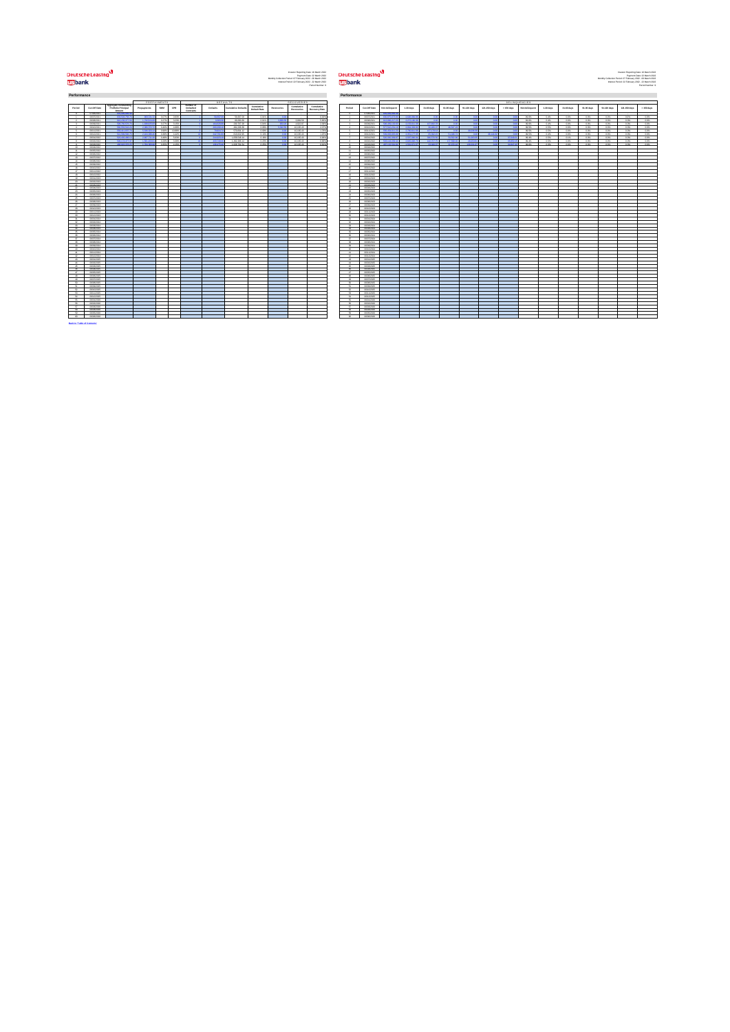## <mark>لا</mark><br>لايتا Usbank

**Back to 'Table of Contents'**

**Examples the second of the Studies of the Studies of the Studies of the Studies of the Studies of the Studies**<br>
Mark Channel Studies and Studies and Studies and Studies and Studies and Studies and Studies and Studies and

| Period                  | Cut-Off Date      | Accresse Outstanding<br>Portfolio Principal<br>Amount | Реадиусмета  | SMM   | CPR.   | <b>Number of</b><br>Defaulted<br>Contracto | <b>Detaults</b>    | <b>Cumulative Defaults</b> | Cursulative<br><b>Default Rate</b> | <b>Recoveries</b> | Cumulative<br>Recoveries | Cursulative<br>Recovery Rate | Period                   | Cus-Off Day |
|-------------------------|-------------------|-------------------------------------------------------|--------------|-------|--------|--------------------------------------------|--------------------|----------------------------|------------------------------------|-------------------|--------------------------|------------------------------|--------------------------|-------------|
|                         | 07062021          | 649-999-999-2                                         |              |       |        |                                            |                    |                            |                                    |                   |                          |                              | n.                       | 0706/202    |
| $\sim$                  | 06/07/2021        | 400 KW 268 2                                          | 609-7041     | 0.071 | oam    |                                            | 54,642.04          | 56,697.09                  | diets                              | $\sim$            |                          | 0.009                        | $\sim$                   | 06/07/202   |
| $\mathbf{r}$            | 06/08/2021        | 616.158.377.5                                         | 1,722,5241   | 0.27% | 3.23%  |                                            | 4,999.94           | 66,080.28                  | opth                               | 36016             | 1.000.00                 | 5.801                        | $\alpha$                 | 06/08/202   |
|                         | 06/09/2021        | \$98,290,576.7                                        | 1,639,825.8  | 0.277 | 3.15%  |                                            | <b>GAGGES</b>      | 200,707.28                 | open                               | 669.9             | 4.822.87                 | 2,09%                        |                          | 06/09/202   |
| ٠                       | 06/10/2021        | <b>CAR CCV CAT-1</b>                                  | 9,986,629.3  | 0.405 | 4,69%  |                                            | <b>NATIONAL KI</b> | 491,006.38                 | open                               | conc              | 10.165.43                | 2.079                        |                          | 06/10/202   |
| s                       | 06/11/2021        | \$59,411,637.7                                        | <b>COLOR</b> | 0.96% | 10,89% |                                            | 79.924.74          | 670,831.12                 | A hope                             | 00 <sup>2</sup>   | 10.165.43                | 1,79%                        | $\epsilon$               | 09/11/202   |
|                         | 06/12/2021        | Set Sto Stal                                          | 2.104.900    | 0.389 | 4.429  |                                            | 242791.90          | 813.622.95                 | 0.12%                              |                   | 10.165.43                | 1209                         |                          | 09/12/2022  |
| $\mathcal{F}$           | 06/01/2022        | \$23,432,486.5                                        | 2.607.711.2  | 0.485 | sand   |                                            | 244.923.19         | 1.059.545.14               | 0.19%                              | $\mathbf{A}$      | 10.165.43                | con                          | $\mathbf{r}$             | 06/01/202   |
|                         | 06/02/2022        | 506.174.07.3                                          | 1.501.203.61 | A 989 | san    |                                            | 4337400            | 1.492.205.14               | 0.22%                              | $\mathbf{A}$      | 10.165.43                | con                          |                          | 06/02/202   |
| ٠                       | 06/03/2022        | 408.923.378.2                                         | 1,784,923.9  | 0.35% | 4.55%  |                                            | 126-0540           | 1.629.761.54               | 0.25%                              |                   | 10.165.43                | 0.62%                        |                          | 06/03/202   |
| 10                      | 06/06/2022        |                                                       |              |       |        |                                            |                    |                            |                                    |                   |                          |                              | $50 -$                   | 06/04/202   |
| $\mathbf{H}$            | 06/05/2022        |                                                       |              |       |        |                                            |                    |                            |                                    |                   |                          |                              | $\overline{\mathbf{a}}$  | 06/05/202   |
| 12                      | 06/06/2022        |                                                       |              |       |        |                                            |                    |                            |                                    |                   |                          |                              | 12                       | 06/06/202   |
| 12                      | ourcrosss         |                                                       |              |       |        |                                            |                    |                            |                                    |                   |                          |                              | 13                       | 06/07/202   |
| 14                      | 06/08/2022        |                                                       |              |       |        |                                            |                    |                            |                                    |                   |                          |                              | $\overline{a}$           | 06/08/202   |
| 15                      | 06/09/2022        |                                                       |              |       |        |                                            |                    |                            |                                    |                   |                          |                              | k6                       | 06/09/202   |
| 16                      | 06/10/2022        |                                                       |              |       |        |                                            |                    |                            |                                    |                   |                          |                              | $^{4}$                   | 09/10/2022  |
| $\overline{a}$          | 06/11/2022        |                                                       |              |       |        |                                            |                    |                            |                                    |                   |                          |                              | $\overline{a}$           | 0911202     |
| 1k                      | 06/12/2022        |                                                       |              |       |        |                                            |                    |                            |                                    |                   |                          |                              | <b>KG</b>                | 09/12/2022  |
| 19                      | outegeza          |                                                       |              |       |        |                                            |                    |                            |                                    |                   |                          |                              | 19                       | 06/01/202   |
| on.                     | nemoranos         |                                                       |              |       |        |                                            |                    |                            |                                    |                   |                          |                              | $\sim$                   | 06/02/202   |
| $_{21}$                 | 06/03/2023        |                                                       |              |       |        |                                            |                    |                            |                                    |                   |                          |                              | $\overline{11}$          | 06/03/202   |
| w                       | nancreos          |                                                       |              |       |        |                                            |                    |                            |                                    |                   |                          |                              | $^{42}$                  | 06/04/202   |
| $^{46}$                 | nemonen           |                                                       |              |       |        |                                            |                    |                            |                                    |                   |                          |                              | w                        | 06/05/202   |
| 24                      | nemeranns         |                                                       |              |       |        |                                            |                    |                            |                                    |                   |                          |                              | 24                       | 06/06/202   |
| $\overline{\mathbf{x}}$ | numerous          |                                                       |              |       |        |                                            |                    |                            |                                    |                   |                          |                              | ĸ                        | 06/07/202   |
| $\mathbf{a}$            | nemeranos         |                                                       |              |       |        |                                            |                    |                            |                                    |                   |                          |                              | <b>M</b>                 | 06/08/202   |
| 27                      | nemeters          |                                                       |              |       |        |                                            |                    |                            |                                    |                   |                          |                              | 27                       | 06/09/202   |
| $^{46}$                 | 06/10/2023        |                                                       |              |       |        |                                            |                    |                            |                                    |                   |                          |                              | $^{16}$                  | 09/10/202   |
| $^{46}$                 | novement          |                                                       |              |       |        |                                            |                    |                            |                                    |                   |                          |                              | th.                      | 09/11/202   |
| 20                      | 06/12/2023        |                                                       |              |       |        |                                            |                    |                            |                                    |                   |                          |                              | 20                       | 09/12/2022  |
| $^{2}$                  | <b>GENERATION</b> |                                                       |              |       |        |                                            |                    |                            |                                    |                   |                          |                              | s.                       | 06/01/202   |
| $^{46}$                 | nemoranou.        |                                                       |              |       |        |                                            |                    |                            |                                    |                   |                          |                              | w                        | 06/02/202   |
| $\mathbf{z}$            | 06/03/2024        |                                                       |              |       |        |                                            |                    |                            |                                    |                   |                          |                              | 22                       | 06/03/202   |
| $^{44}$                 | <b>GENERAL</b>    |                                                       |              |       |        |                                            |                    |                            |                                    |                   |                          |                              | $^{44}$                  | 06/04/202   |
| ×                       | 06/05/2024        |                                                       |              |       |        |                                            |                    |                            |                                    |                   |                          |                              | 36                       | 06/05/202   |
| $\mathbf{a}$            | 06/06/2024        |                                                       |              |       |        |                                            |                    |                            |                                    |                   |                          |                              | $\mathbf{a}$             | 06/06/202   |
| $42^{\circ}$            | nextendos.        |                                                       |              |       |        |                                            |                    |                            |                                    |                   |                          |                              | 42                       | 06/07/202   |
| $\mathbf{a}$            | 06/08/2024        |                                                       |              |       |        |                                            |                    |                            |                                    |                   |                          |                              | 28                       | 06/08/202   |
| 3h                      | nemeters.         |                                                       |              |       |        |                                            |                    |                            |                                    |                   |                          |                              | $^{46}$                  | 06/09/202   |
| an.                     | <b>GENERAL</b>    |                                                       |              |       |        |                                            |                    |                            |                                    |                   |                          |                              | $\mathbf{a}$             | 09/10/202   |
| 41                      | 06/11/2024        |                                                       |              |       |        |                                            |                    |                            |                                    |                   |                          |                              | 41                       | 0911202     |
| $\alpha$                | 06/12/2024        |                                                       |              |       |        |                                            |                    |                            |                                    |                   |                          |                              | 42                       | 09/12/2020  |
| ×.                      | <b>GAME/WOOD</b>  |                                                       |              |       |        |                                            |                    |                            |                                    |                   |                          |                              | $\mathbf{r}$             | 06/01/202   |
| 44                      | ourceses          |                                                       |              |       |        |                                            |                    |                            |                                    |                   |                          |                              | 44                       | 06/02/202   |
| es.                     | nemannos          |                                                       |              |       |        |                                            |                    |                            |                                    |                   |                          |                              | 45                       | 06/03/202   |
| $^{46}$                 | newww.            |                                                       |              |       |        |                                            |                    |                            |                                    |                   |                          |                              | 46                       | 06/04/202   |
| $\sigma$                | 06/05/2026        |                                                       |              |       |        |                                            |                    |                            |                                    |                   |                          |                              | $\mathbf{a}$             | 06/05/202   |
| $\alpha$                | 06/06/2026        |                                                       |              |       |        |                                            |                    |                            |                                    |                   |                          |                              | $\overline{a}$           | 06/06/202   |
| 49                      | newproves.        |                                                       |              |       |        |                                            |                    |                            |                                    |                   |                          |                              | 49                       | 06/07/202   |
| s.                      | 06/08/2026        |                                                       |              |       |        |                                            |                    |                            |                                    |                   |                          |                              | c.                       | 06/08/202   |
| 61                      | nemannos.         |                                                       |              |       |        |                                            |                    |                            |                                    |                   |                          |                              | <b>KK</b>                | 06/09/202   |
| 62                      | nowwane.          |                                                       |              |       |        |                                            |                    |                            |                                    |                   |                          |                              | 52                       | 09/10/2020  |
| ss                      | 06/11/2025        |                                                       |              |       |        |                                            |                    |                            |                                    |                   |                          |                              | c.                       | 09/11/2020  |
| 64                      | 06/12/2026        |                                                       |              |       |        |                                            |                    |                            |                                    |                   |                          |                              | 64                       | 09/12/2020  |
| $_{\alpha}$             | new resea         |                                                       |              |       |        |                                            |                    |                            |                                    |                   |                          |                              | $_{\alpha}$              | 06/01/202   |
| $\overline{\mathbf{a}}$ | 06/02/2026        |                                                       |              |       |        |                                            |                    |                            |                                    |                   |                          |                              | $\overline{\mathcal{L}}$ | 06/02/202   |
| $\sigma$                | nemotion          |                                                       |              |       |        |                                            |                    |                            |                                    |                   |                          |                              | $\sigma$                 | 06/03/202   |
| se                      | 06/06/2026        |                                                       |              |       |        |                                            |                    |                            |                                    |                   |                          |                              | sa                       | 06/04/202   |
| $\alpha$                | nemonine          |                                                       |              |       |        |                                            |                    |                            |                                    |                   |                          |                              | <b>CG</b>                | 06/06/2006  |
| 60                      | 06/06/2026        |                                                       |              |       |        |                                            |                    |                            |                                    |                   |                          |                              | 60                       | 06/06/202   |
|                         |                   |                                                       |              |       |        |                                            |                    |                            |                                    |                   |                          |                              |                          |             |

**Performance Performance**

|    |                                |                                                        | <b>PKEPATMENIX</b> |                |            |                                                             | <b>DEFAULIN</b>   |                            |                                    |            | <b>KECOVERIES</b>        |                              |                               |                          |                                               |                               |                                      |                                    |                             |                 |              | <b>DELINQUENCIES</b> |           |                  |              |             |              |                          |
|----|--------------------------------|--------------------------------------------------------|--------------------|----------------|------------|-------------------------------------------------------------|-------------------|----------------------------|------------------------------------|------------|--------------------------|------------------------------|-------------------------------|--------------------------|-----------------------------------------------|-------------------------------|--------------------------------------|------------------------------------|-----------------------------|-----------------|--------------|----------------------|-----------|------------------|--------------|-------------|--------------|--------------------------|
|    | Cut-Off Date                   | Approgate Outstanding<br>Portfolio Principal<br>Amount | Progayments        | SMM            | CPR        | Number of<br>Defaulted<br><b><i><u><u>WATER</u></u></i></b> | Detaults          | <b>Cumulative Defaults</b> | Cursulative<br><b>Default Rate</b> | Recoveries | Cumulative<br>Recoveries | Cursulative<br>Recovery Rate | Period                        | Cus-Off Date             | Not delinquent                                | 1-30 days                     | 21-60 days                           | 61-90 days                         | 91-120 days                 | 121-150 days    | $> 150$ days | Not delinquent       | 1-30 days | 3140 days        | 61-98 days   | 91-120 days | 121-150 days | > 150 days               |
|    | 07/06/2021                     | 649-998-99                                             |                    |                |            |                                                             |                   |                            |                                    |            |                          |                              |                               | consumer.                |                                               |                               |                                      |                                    |                             |                 |              |                      |           |                  |              |             |              |                          |
|    | 06/07/2021                     | 400 KW 2681                                            | <b>ANA MALINA</b>  | - 0.02%        | CONTROL    |                                                             | <b>CEANNA</b>     | 59,997.09                  | A Balti                            |            |                          | 0.006                        | $\sim$                        | commons.                 | 49940064099                                   | O 4700 ONA                    |                                      |                                    |                             |                 |              | 99.6%                | o.es.     | 0.0%             | 0.0%         | ops.        | 0.0%         | 0.0%                     |
|    | 06/08/2021                     | 616.158.377                                            | 1,732,524.0        | 0.27%          | 3.22%      |                                                             | \$260.            | 66,080.29                  | cors.                              | 3,600      | 3,869.58                 | 5,96%                        | $\rightarrow$                 | 06/08/2021               | <b>CAS DOG OF</b>                             | 2.272.160.                    |                                      |                                    |                             |                 |              | 99.6%                | o.es.     | 0.0%             | 0.0%         | ops.        | 0.0%         | 0.0%                     |
|    | 06/09/2021                     | \$98,760,576                                           | 1,609,825.8        | 0.27%          | $A$ of the |                                                             |                   | 230,707.28                 | cons                               |            | 4.822.87                 | 2.09                         | $\overline{\phantom{a}}$      | 06/09/2021               | 600 400 197                                   | 2153, 611.1                   | <b>ALCOHOL:</b>                      |                                    |                             |                 |              | 99.6%                | 0.4%      | 0.0%             | 0.0%         | 0.0%        | 0.0%         | $-48$                    |
|    | 06/10/2021                     | Can CCV Call                                           | 0.000 020 39       | <b>COMMENT</b> | 4,60%      |                                                             |                   | 491-006-00                 | ODM'S                              |            | 10,500.43                | 1025                         | $\overline{a}$                | developpe                |                                               |                               |                                      |                                    |                             |                 |              | 99.9%                | ASK.      | cos              | ABC          | AM6         | ons.         | 40%                      |
|    | 06/11/2021                     | 559,411,637                                            | 5.546.523.54       | 0.96%          | 10,89%     |                                                             | 79,9243           | 670,831.12                 | opes.                              |            | 10,165.43                | 1.799                        | $\sim$                        | 09/11/2021               | <b>GOLDSMAN</b>                               | 2790.611                      | 32.98                                |                                    | 29.236                      |                 |              | 99.9%                | 0.5%      | cos              | 0.0%         | ozni        | apts.        | 0.0%                     |
|    | northwater                     | <b>Carl Call Call 1</b>                                | 0-14039-0-120-2    |                | 4.400      |                                                             | <b>Ask Mar</b>    | 913-032-06                 | 0.12%                              |            | 10,500.43                | 14.04                        | <b>ALC</b>                    | CONTROLLER               | Chang's price                                 | 100.077.0                     | 66-999 KG                            | <b>CARDON</b>                      |                             | <b>SA CECAR</b> |              | 99.9%                | AAN.      | AMK <sup>1</sup> | AM.          | AM.         | am.          | $-0.05$<br>$\frac{1}{2}$ |
|    | 06/01/2022                     | DEA 17A 210                                            | 002255.00          | 0.48%          | $-6.60\%$  |                                                             |                   | 1.059.549.14               | 0.19%                              |            | 10.165.43                | com                          | $\overline{ }$                | 0601002                  | <b>Can one of</b>                             |                               |                                      |                                    |                             |                 |              | 99.4%                | AGK.      | 0.15             | 0.0%         | 02%         | O.OSC        |                          |
|    | 06/02/2022<br>numeroso         | <b>SALVALOR</b><br>408 979 978 9                       | <b>Continued</b>   | 0.29%          | 4.94       |                                                             | <b>ANADIAN</b>    | 1.000.000.14               | A Vite<br>6106                     |            | 10,300.03<br>10,500.03   | 449                          | $\sim$                        | constructs               | <b>CONTRACTOR</b><br>00/09/002 823 502 504 64 | <b>SAKAST</b><br>1.544.474.00 | <b>KAT-2021</b><br><b>AN ANALISE</b> | <b>CONTRACTOR</b><br><b>ANAHAN</b> | <b>AA AFA</b><br>100.004.67 |                 | 54947.67     | \$9.65               | A SAL     | Addis.           | A.M.         | AM6         | 0.0%<br>nm.  | cos.                     |
|    | newwww.                        |                                                        | 1,794,993,99 0,35% |                | A 10%      |                                                             | <b>CONTRACTOR</b> | 1,629,761.54               |                                    |            |                          |                              | $\sim$<br><b>SOFT</b>         | GEOMETERS                |                                               |                               |                                      |                                    |                             |                 |              | 49.05                | A ME      | AMG.             | <b>CARDO</b> | C-MAL       |              | $-605$                   |
|    | nemotions.                     |                                                        |                    |                |            |                                                             |                   |                            |                                    |            |                          |                              | $-44$                         | constrato                |                                               |                               |                                      |                                    |                             |                 |              |                      |           |                  |              |             |              |                          |
|    | 06/06/2022                     |                                                        |                    |                |            |                                                             |                   |                            |                                    |            |                          |                              | $\rightarrow$                 | nungerous-               |                                               |                               |                                      |                                    |                             |                 |              |                      |           |                  |              |             |              |                          |
|    | ourchass:                      |                                                        |                    |                |            |                                                             |                   |                            |                                    |            |                          |                              | $-12$                         | 06/07/2022               |                                               |                               |                                      |                                    |                             |                 |              |                      |           |                  |              |             |              |                          |
|    | 06/08/2022                     |                                                        |                    |                |            |                                                             |                   |                            |                                    |            |                          |                              | $-54$                         | 06/08/2022               |                                               |                               |                                      |                                    |                             |                 |              |                      |           |                  |              |             |              |                          |
|    | numeroso                       |                                                        |                    |                |            |                                                             |                   |                            |                                    |            |                          |                              | $-45$                         | nungerous-               |                                               |                               |                                      |                                    |                             |                 |              |                      |           |                  |              |             |              |                          |
|    | 06/10/2022                     |                                                        |                    |                |            |                                                             |                   |                            |                                    |            |                          |                              | 19                            | 09/10/2022               |                                               |                               |                                      |                                    |                             |                 |              |                      |           |                  |              |             |              |                          |
| œ. | 06/11/2022                     |                                                        |                    |                |            |                                                             |                   |                            |                                    |            |                          |                              | 17                            | 09/11/2022               |                                               |                               |                                      |                                    |                             |                 |              |                      |           |                  |              |             |              |                          |
|    | nervicence                     |                                                        |                    |                |            |                                                             |                   |                            |                                    |            |                          |                              | $-48$                         | developed                |                                               |                               |                                      |                                    |                             |                 |              |                      |           |                  |              |             |              |                          |
|    | 06/01/2023                     |                                                        |                    |                |            |                                                             |                   |                            |                                    |            |                          |                              | 199                           | 06/01/2023               |                                               |                               |                                      |                                    |                             |                 |              |                      |           |                  |              |             |              |                          |
|    | 06/02/2023                     |                                                        |                    |                |            |                                                             |                   |                            |                                    |            |                          |                              | $20 -$                        | 06/02/2023               |                                               |                               |                                      |                                    |                             |                 |              |                      |           |                  |              |             |              |                          |
|    | 06/03/2023                     |                                                        |                    |                |            |                                                             |                   |                            |                                    |            |                          |                              | 21                            | 06/03/2023               |                                               |                               |                                      |                                    |                             |                 |              |                      |           |                  |              |             |              |                          |
|    | 06/062023                      |                                                        |                    |                |            |                                                             |                   |                            |                                    |            |                          |                              | <b>AN</b>                     | 06/04/2023               |                                               |                               |                                      |                                    |                             |                 |              |                      |           |                  |              |             |              |                          |
|    | outscopp                       |                                                        |                    |                |            |                                                             |                   |                            |                                    |            |                          |                              | $\overline{\mathbf{a}}$       | nunciona)                |                                               |                               |                                      |                                    |                             |                 |              |                      |           |                  |              |             |              |                          |
| u  | 06/06/2023                     |                                                        |                    |                |            |                                                             |                   |                            |                                    |            |                          |                              | 24                            | 06/06/2023               |                                               |                               |                                      |                                    |                             |                 |              |                      |           |                  |              |             |              |                          |
|    | 06/07/2023                     |                                                        |                    |                |            |                                                             |                   |                            |                                    |            |                          |                              |                               | 06/07/2023               |                                               |                               |                                      |                                    |                             |                 |              |                      |           |                  |              |             |              |                          |
|    | 06/08/2023                     |                                                        |                    |                |            |                                                             |                   |                            |                                    |            |                          |                              | ×                             | 06080023                 |                                               |                               |                                      |                                    |                             |                 |              |                      |           |                  |              |             |              |                          |
|    | 06/09/2023                     |                                                        |                    |                |            |                                                             |                   |                            |                                    |            |                          |                              | 27                            | 06/08/2023               |                                               |                               |                                      |                                    |                             |                 |              |                      |           |                  |              |             |              |                          |
|    | 06/10/2023                     |                                                        |                    |                |            |                                                             |                   |                            |                                    |            |                          |                              | <b>Abb</b>                    | 09/10/2023               |                                               |                               |                                      |                                    |                             |                 |              |                      |           |                  |              |             |              |                          |
|    | distances.                     |                                                        |                    |                |            |                                                             |                   |                            |                                    |            |                          |                              | $\rightarrow$                 | 00110302                 |                                               |                               |                                      |                                    |                             |                 |              |                      |           |                  |              |             |              |                          |
|    | 06/12/2023<br><b>GENERATOR</b> |                                                        |                    |                |            |                                                             |                   |                            |                                    |            |                          |                              | 30<br>$\overline{44}$         | 09/12/2023<br>GEORGINA   |                                               |                               |                                      |                                    |                             |                 |              |                      |           |                  |              |             |              |                          |
|    | 06/02/2024                     |                                                        |                    |                |            |                                                             |                   |                            |                                    |            |                          |                              | $\rightarrow$                 | 06032024                 |                                               |                               |                                      |                                    |                             |                 |              |                      |           |                  |              |             |              |                          |
|    |                                |                                                        |                    |                |            |                                                             |                   |                            |                                    |            |                          |                              | 44.                           |                          |                                               |                               |                                      |                                    |                             |                 |              |                      |           |                  |              |             |              |                          |
|    | 06/03/2024<br><b>GENERAL</b>   |                                                        |                    |                |            |                                                             |                   |                            |                                    |            |                          |                              | $-34$                         | 09/03/2024<br>COOM TOTAL |                                               |                               |                                      |                                    |                             |                 |              |                      |           |                  |              |             |              |                          |
|    | 06/05/2024                     |                                                        |                    |                |            |                                                             |                   |                            |                                    |            |                          |                              | 36                            | 09/05/2024               |                                               |                               |                                      |                                    |                             |                 |              |                      |           |                  |              |             |              |                          |
|    | 06/06/2024                     |                                                        |                    |                |            |                                                             |                   |                            |                                    |            |                          |                              | 26                            | 06/06/2024               |                                               |                               |                                      |                                    |                             |                 |              |                      |           |                  |              |             |              |                          |
|    | nemorana.                      |                                                        |                    |                |            |                                                             |                   |                            |                                    |            |                          |                              | $\overline{v}$                | Gordonia                 |                                               |                               |                                      |                                    |                             |                 |              |                      |           |                  |              |             |              |                          |
|    | 06/08/2024                     |                                                        |                    |                |            |                                                             |                   |                            |                                    |            |                          |                              | $-28$                         | 06/08/2024               |                                               |                               |                                      |                                    |                             |                 |              |                      |           |                  |              |             |              |                          |
|    | 06/09/2024                     |                                                        |                    |                |            |                                                             |                   |                            |                                    |            |                          |                              | $29 -$                        | 06/09/2024               |                                               |                               |                                      |                                    |                             |                 |              |                      |           |                  |              |             |              |                          |
|    | <b>GENERAL</b>                 |                                                        |                    |                |            |                                                             |                   |                            |                                    |            |                          |                              | -an-                          | CONTROLL                 |                                               |                               |                                      |                                    |                             |                 |              |                      |           |                  |              |             |              |                          |
|    | 06/11/2024                     |                                                        |                    |                |            |                                                             |                   |                            |                                    |            |                          |                              | 45                            | 09/15/2024               |                                               |                               |                                      |                                    |                             |                 |              |                      |           |                  |              |             |              |                          |
|    | 06/12/2024                     |                                                        |                    |                |            |                                                             |                   |                            |                                    |            |                          |                              | 42                            | 09/12/2024               |                                               |                               |                                      |                                    |                             |                 |              |                      |           |                  |              |             |              |                          |
|    | outstates                      |                                                        |                    |                |            |                                                             |                   |                            |                                    |            |                          |                              | 42                            | 06/01/2025               |                                               |                               |                                      |                                    |                             |                 |              |                      |           |                  |              |             |              |                          |
|    | ourgeges.                      |                                                        |                    |                |            |                                                             |                   |                            |                                    |            |                          |                              | A                             | 06/02/2025               |                                               |                               |                                      |                                    |                             |                 |              |                      |           |                  |              |             |              |                          |
|    | 06/03/2025                     |                                                        |                    |                |            |                                                             |                   |                            |                                    |            |                          |                              | 45                            | 06/03/2025               |                                               |                               |                                      |                                    |                             |                 |              |                      |           |                  |              |             |              |                          |
|    | 06/06/2025                     |                                                        |                    |                |            |                                                             |                   |                            |                                    |            |                          |                              | $49 -$                        | 06/04/2025               |                                               |                               |                                      |                                    |                             |                 |              |                      |           |                  |              |             |              |                          |
|    | outscapes                      |                                                        |                    |                |            |                                                             |                   |                            |                                    |            |                          |                              | $\overline{a}$                | 06/06/2025               |                                               |                               |                                      |                                    |                             |                 |              |                      |           |                  |              |             |              |                          |
|    | 06/06/2025                     |                                                        |                    |                |            |                                                             |                   |                            |                                    |            |                          |                              | 48                            | 06/06/2025               |                                               |                               |                                      |                                    |                             |                 |              |                      |           |                  |              |             |              |                          |
|    | newproves.                     |                                                        |                    |                |            |                                                             |                   |                            |                                    |            |                          |                              | 49                            | commons.                 |                                               |                               |                                      |                                    |                             |                 |              |                      |           |                  |              |             |              |                          |
|    | 06/08/2025<br>06/09/2025       |                                                        |                    |                |            |                                                             |                   |                            |                                    |            |                          |                              | SO <sub>1</sub><br>$\epsilon$ | 06/08/2025<br>0609/2025  |                                               |                               |                                      |                                    |                             |                 |              |                      |           |                  |              |             |              |                          |
|    | 06/10/2025                     |                                                        |                    |                |            |                                                             |                   |                            |                                    |            |                          |                              | 62                            | 09/10/2025               |                                               |                               |                                      |                                    |                             |                 |              |                      |           |                  |              |             |              |                          |
|    | 06/11/2025                     |                                                        |                    |                |            |                                                             |                   |                            |                                    |            |                          |                              | 69                            | 09/11/2025               |                                               |                               |                                      |                                    |                             |                 |              |                      |           |                  |              |             |              |                          |
|    | normed.                        |                                                        |                    |                |            |                                                             |                   |                            |                                    |            |                          |                              | $\sim$                        | Germany.                 |                                               |                               |                                      |                                    |                             |                 |              |                      |           |                  |              |             |              |                          |
|    | 06/01/2026                     |                                                        |                    |                |            |                                                             |                   |                            |                                    |            |                          |                              | $\frac{95}{26}$               | 06/01/2026               |                                               |                               |                                      |                                    |                             |                 |              |                      |           |                  |              |             |              |                          |
|    | 06/02/2026                     |                                                        |                    |                |            |                                                             |                   |                            |                                    |            |                          |                              | <b>SA</b>                     | 09/02/2029               |                                               |                               |                                      |                                    |                             |                 |              |                      |           |                  |              |             |              |                          |
|    | numerous.                      |                                                        |                    |                |            |                                                             |                   |                            |                                    |            |                          |                              | $-$                           | commons                  |                                               |                               |                                      |                                    |                             |                 |              |                      |           |                  |              |             |              |                          |
|    | construction.                  |                                                        |                    |                |            |                                                             |                   |                            |                                    |            |                          |                              | <b>CO</b>                     | 06/04/2026               |                                               |                               |                                      |                                    |                             |                 |              |                      |           |                  |              |             |              |                          |
|    | nemonneg                       |                                                        |                    |                |            |                                                             |                   |                            |                                    |            |                          |                              | 59                            | nencrime                 |                                               |                               |                                      |                                    |                             |                 |              |                      |           |                  |              |             |              |                          |
|    | 06/06/2026                     |                                                        |                    |                |            |                                                             |                   |                            |                                    |            |                          |                              | 60                            | 06/06/2026               |                                               |                               |                                      |                                    |                             |                 |              |                      |           |                  |              |             |              |                          |
|    |                                |                                                        |                    |                |            |                                                             |                   |                            |                                    |            |                          |                              |                               |                          |                                               |                               |                                      |                                    |                             |                 |              |                      |           |                  |              |             |              |                          |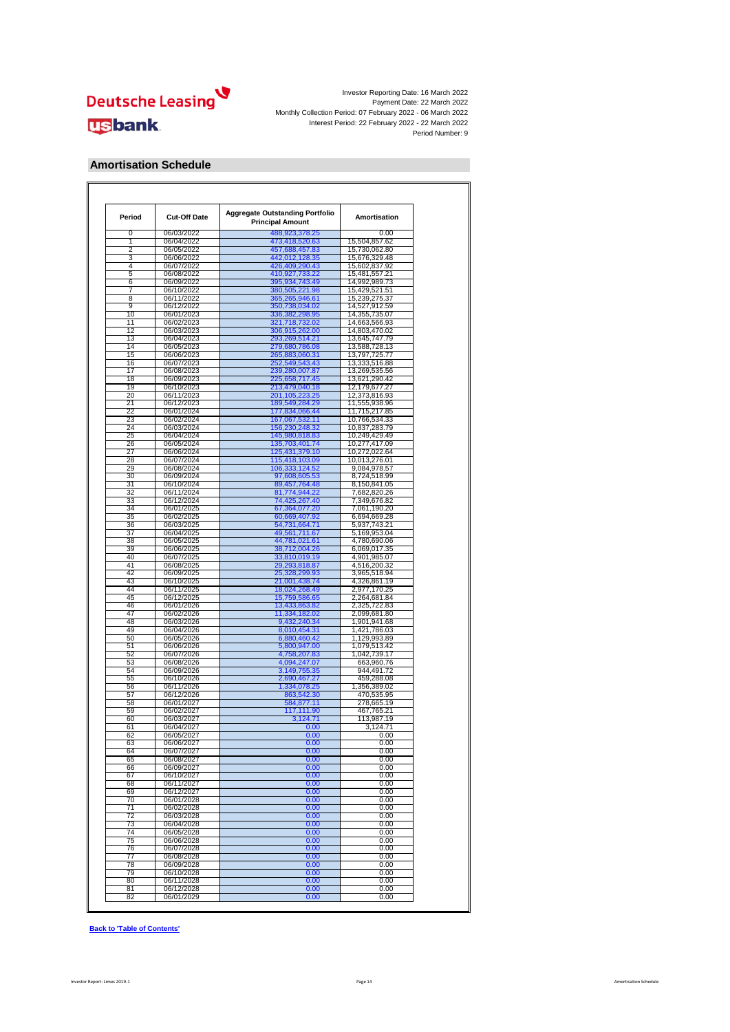

### **Amortisation Schedule**

| Period | <b>Cut-Off Date</b> | <b>Aggregate Outstanding Portfolio</b><br><b>Principal Amount</b> | Amortisation                 |
|--------|---------------------|-------------------------------------------------------------------|------------------------------|
| 0      | 06/03/2022          | 488,923,378.25                                                    | 0.00                         |
| 1      | 06/04/2022          | 473,418,520.63                                                    | 15,504,857.62                |
| 2      | 06/05/2022          | 457,688,457.83                                                    | 15,730,062.80                |
| 3      | 06/06/2022          | 442,012,128.35                                                    | 15,676,329.48                |
| 4      | 06/07/2022          | 426,409,290.43                                                    | 15,602,837.92                |
| 5      | 06/08/2022          | 410,927,733.22                                                    | 15,481,557.21                |
| 6      | 06/09/2022          | 395,934,743.49                                                    | 14,992,989.73                |
| 7      | 06/10/2022          | 380,505,221.98                                                    | 15,429,521.51                |
| 8      | 06/11/2022          | 365,265,946.61                                                    | 15,239,275.37                |
| 9      | 06/12/2022          | 350,738,034.02                                                    | 14,527,912.59                |
| 10     | 06/01/2023          | 336,382,298.95                                                    | 14,355,735.07                |
| 11     | 06/02/2023          | 321,718,732.02                                                    | 14,663,566.93                |
| 12     | 06/03/2023          | 306,915,262.00                                                    | 14,803,470.02                |
| 13     | 06/04/2023          | 293,269,514.21                                                    | 13,645,747.79                |
| 14     | 06/05/2023          | 279,680,786.08                                                    | 13,588,728.13                |
| 15     | 06/06/2023          | 265,883,060.31                                                    | 13,797,725.77                |
| 16     | 06/07/2023          | 252,549,543.43                                                    | 13,333,516.88                |
| 17     | 06/08/2023          | 239,280,007.87                                                    | 13,269,535.56                |
| 18     | 06/09/2023          | 225,658,717.45                                                    | 13,621,290.42                |
| 19     | 06/10/2023          | 213,479,040.18                                                    | 12,179,677.27                |
| 20     | 06/11/2023          | 201, 105, 223. 25                                                 | 12,373,816.93                |
| 21     | 06/12/2023          | 189,549,284.29                                                    | 11,555,938.96                |
| 22     | 06/01/2024          | 177,834,066.44                                                    | 11,715,217.85                |
| 23     | 06/02/2024          | 167,067,532.11                                                    | 10,766,534.33                |
| 24     | 06/03/2024          | 156,230,248.32                                                    | 10,837,283.79                |
| 25     | 06/04/2024          | 145,980,818.83                                                    | 10,249,429.49                |
| 26     | 06/05/2024          | 135,703,401.74                                                    | 10,277,417.09                |
| 27     | 06/06/2024          | 125,431,379.10                                                    | 10,272,022.64                |
| 28     | 06/07/2024          | 115,418,103.09                                                    | 10,013,276.01                |
| 29     | 06/08/2024          | 106,333,124.52                                                    | 9,084,978.57                 |
| 30     | 06/09/2024          | 97,608,605.53                                                     | 8,724,518.99                 |
| 31     | 06/10/2024          | 89,457,764.48                                                     | 8,150,841.05                 |
| 32     | 06/11/2024          | 81,774,944.22                                                     | 7,682,820.26                 |
| 33     | 06/12/2024          |                                                                   | 7,349,676.82                 |
| 34     | 06/01/2025          | 74,425,267.40                                                     |                              |
|        |                     | 67,364,077.20                                                     | 7,061,190.20<br>6,694,669.28 |
| 35     | 06/02/2025          | 60,669,407.92                                                     |                              |
| 36     | 06/03/2025          | 54,731,664.71                                                     | 5,937,743.21                 |
| 37     | 06/04/2025          | 49,561,711.67                                                     | 5,169,953.04                 |
| 38     | 06/05/2025          | 44,781,021.61                                                     | 4,780,690.06                 |
| 39     | 06/06/2025          | 38,712,004.26                                                     | 6,069,017.35                 |
| 40     | 06/07/2025          | 33,810,019.19                                                     | 4,901,985.07                 |
| 41     | 06/08/2025          | 29,293,818.87                                                     | 4,516,200.32                 |
| 42     | 06/09/2025          | 25,328,299.93                                                     | 3,965,518.94                 |
| 43     | 06/10/2025          | 21,001,438.74                                                     | 4,326,861.19                 |
| 44     | 06/11/2025          | 18,024,268.49                                                     | 2,977,170.25                 |
| 45     | 06/12/2025          | 15,759,586.65                                                     | 2,264,681.84                 |
| 46     | 06/01/2026          | 13,433,863.82                                                     | 2,325,722.83                 |
| 47     | 06/02/2026          | 11,334,182.02                                                     | 2,099,681.80                 |
| 48     | 06/03/2026          | 9,432,240.34                                                      | 1,901,941.68                 |
| 49     | 06/04/2026          | 8,010,454.31                                                      | 1,421,786.03                 |
| 50     | 06/05/2026          | 6,880,460.42                                                      | 1,129,993.89                 |
| 51     | 06/06/2026          | 5,800,947.00                                                      | 1,079,513.42                 |
| 52     | 06/07/2026          | 4,758,207.83                                                      | 1,042,739.17                 |
| 53     | 06/08/2026          | 4,094,247.07                                                      | 663,960.76                   |
| 54     | 06/09/2026          | 3,149,755.35                                                      | 944.491.72                   |
| 55     | 06/10/2026          | 2,690,467.27                                                      | 459,288.08                   |
| 56     | 06/11/2026          | 1,334,078.25                                                      | 1,356,389.02                 |
| 57     | 06/12/2026          | 863,542.30                                                        | 470,535.95                   |
| 58     | 06/01/2027          | 584,877.11                                                        | 278,665.19                   |
| 59     | 06/02/2027          | 117,111.90                                                        | 467,765.21                   |
| 60     | 06/03/2027          | 3,124.71                                                          | 113,987.19                   |
| 61     | 06/04/2027          | 0.00                                                              | 3,124.71                     |
| 62     | 06/05/2027          | 0.00                                                              | 0.00                         |
| 63     | 06/06/2027          | 0.00                                                              | 0.00                         |
| 64     | 06/07/2027          | 0.00                                                              | 0.00                         |
| 65     | 06/08/2027          | 0.00                                                              | 0.00                         |
| 66     | 06/09/2027          | 0.00                                                              | 0.00                         |
| 67     |                     |                                                                   |                              |
|        | 06/10/2027          | 0.00                                                              | 0.00                         |
| 68     | 06/11/2027          | 0.00                                                              | 0.00                         |
| 69     | 06/12/2027          | 0.00                                                              | 0.00                         |
| 70     | 06/01/2028          | 0.00                                                              | 0.00                         |
| 71     | 06/02/2028          | 0.00                                                              | 0.00                         |
| 72     | 06/03/2028          | 0.00                                                              | 0.00                         |
| 73     | 06/04/2028          | 0.00                                                              | 0.00                         |
| 74     | 06/05/2028          | 0.00                                                              | 0.00                         |
| 75     | 06/06/2028          | 0.00                                                              | 0.00                         |
| 76     | 06/07/2028          | 0.00                                                              | 0.00                         |
| 77     | 06/08/2028          | 0.00                                                              | 0.00                         |
| 78     | 06/09/2028          | 0.00                                                              | 0.00                         |
| 79     | 06/10/2028          | 0.00                                                              | 0.00                         |
| 80     | 06/11/2028          | 0.00                                                              | 0.00                         |
|        | 06/12/2028          | 0.00                                                              | 0.00                         |
| 81     |                     |                                                                   |                              |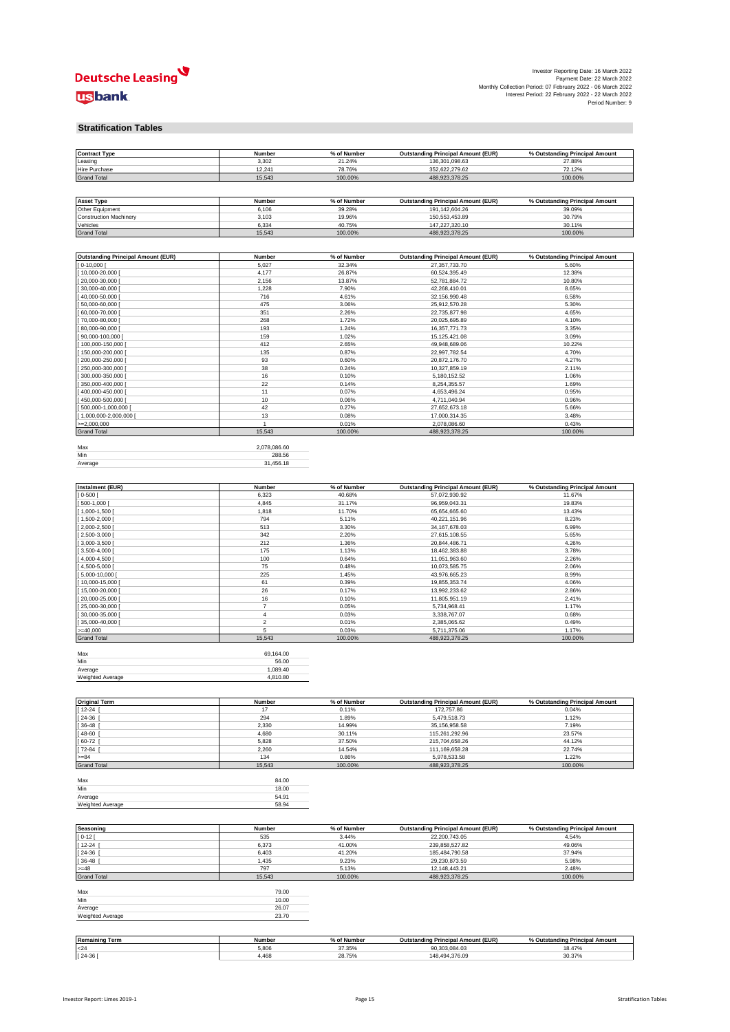

 $\mathcal{L}_{\mathcal{A}}$ 

#### **Stratification Tables**

| <b>Contract Type</b>                      | Number         | % of Number | <b>Outstanding Principal Amount (EUR)</b> | % Outstanding Principal Amount |
|-------------------------------------------|----------------|-------------|-------------------------------------------|--------------------------------|
| Leasing                                   | 3,302          | 21.24%      | 136,301,098.63                            | 27.88%                         |
| Hire Purchase                             | 12,241         | 78.76%      | 352,622,279.62                            | 72.12%                         |
| <b>Grand Total</b>                        | 15,543         | 100.00%     | 488,923,378.25                            | 100.00%                        |
|                                           |                |             |                                           |                                |
|                                           |                |             |                                           |                                |
| <b>Asset Type</b>                         | Number         | % of Number | <b>Outstanding Principal Amount (EUR)</b> | % Outstanding Principal Amount |
| Other Equipment                           | 6,106          | 39.28%      | 191,142,604.26                            | 39.09%                         |
| <b>Construction Machinery</b>             | 3,103          | 19.96%      | 150,553,453.89                            | 30.79%                         |
| Vehicles                                  | 6,334          | 40.75%      | 147,227,320.10                            | 30.11%                         |
| <b>Grand Total</b>                        | 15,543         | 100.00%     | 488,923,378.25                            | 100.00%                        |
|                                           |                |             |                                           |                                |
|                                           |                |             |                                           |                                |
| <b>Outstanding Principal Amount (EUR)</b> | <b>Number</b>  | % of Number | <b>Outstanding Principal Amount (EUR)</b> | % Outstanding Principal Amount |
| $0-10,000$ [                              | 5,027          | 32.34%      | 27,357,733.70                             | 5.60%                          |
| 10,000-20,000 [                           | 4,177          | 26.87%      | 60,524,395.49                             | 12.38%                         |
| 20,000-30,000                             | 2,156          | 13.87%      | 52,781,884.72                             | 10.80%                         |
|                                           |                |             |                                           |                                |
| 30,000-40,000                             | 1,228          | 7.90%       | 42,268,410.01                             | 8.65%                          |
| 40,000-50,000                             | 716            | 4.61%       | 32,156,990.48                             | 6.58%                          |
| 50,000-60,000                             | 475            | 3.06%       | 25,912,570.28                             | 5.30%                          |
| 60,000-70,000                             | 351            | 2.26%       | 22,735,877.98                             | 4.65%                          |
| 70,000-80,000                             | 268            | 1.72%       | 20,025,695.89                             | 4.10%                          |
| 80,000-90,000 [                           | 193            | 1.24%       | 16,357,771.73                             | 3.35%                          |
| 90,000-100,000                            | 159            | 1.02%       | 15, 125, 421.08                           | 3.09%                          |
| 100,000-150,000                           | 412            | 2.65%       | 49,948,689.06                             | 10.22%                         |
| 150,000-200,000                           | 135            | 0.87%       | 22,997,782.54                             | 4.70%                          |
| 200,000-250,000                           | 93             | 0.60%       | 20,872,176.70                             | 4.27%                          |
| 250,000-300,000                           | 38             | 0.24%       | 10,327,859.19                             | 2.11%                          |
| 300,000-350,000                           | 16             | 0.10%       | 5,180,152.52                              | 1.06%                          |
|                                           |                |             |                                           |                                |
| 350,000-400,000                           | 22             | 0.14%       | 8,254,355.57                              | 1.69%                          |
| 400,000-450,000                           | 11             | 0.07%       | 4,653,496.24                              | 0.95%                          |
| 450,000-500,000                           | 10             | 0.06%       | 4,711,040.94                              | 0.96%                          |
| 500,000-1,000,000                         | 42             | 0.27%       | 27,652,673.18                             | 5.66%                          |
| [1,000,000-2,000,000 [                    | 13             | 0.08%       | 17,000,314.35                             | 3.48%                          |
| $>=2,000,000$                             | $\mathbf{1}$   | 0.01%       | 2,078,086.60                              | 0.43%                          |
| <b>Grand Total</b>                        | 15,543         | 100.00%     | 488,923,378.25                            | 100.00%                        |
|                                           |                |             |                                           |                                |
| Max                                       | 2,078,086.60   |             |                                           |                                |
| Min                                       | 288.56         |             |                                           |                                |
| Average                                   | 31,456.18      |             |                                           |                                |
|                                           |                |             |                                           |                                |
|                                           |                |             |                                           |                                |
|                                           |                |             |                                           |                                |
| Instalment (EUR)                          | Number         | % of Number | <b>Outstanding Principal Amount (EUR)</b> | % Outstanding Principal Amount |
| $0 - 500$                                 | 6,323          | 40.68%      | 57,072,930.92                             | 11.67%                         |
| 500-1,000                                 | 4,845          | 31.17%      | 96,959,043.31                             | 19.83%                         |
| 1,000-1,500                               | 1,818          | 11.70%      | 65,654,665.60                             | 13.43%                         |
| $[1,500-2,000]$                           | 794            | 5.11%       | 40,221,151.96                             | 8.23%                          |
| $[2,000-2,500]$                           | 513            | 3.30%       | 34, 167, 678.03                           | 6.99%                          |
| 2,500-3,000                               | 342            | 2.20%       | 27,615,108.55                             | 5.65%                          |
| $3,000-3,500$                             | 212            | 1.36%       | 20,844,486.71                             | 4.26%                          |
| 3,500-4,000                               | 175            | 1.13%       | 18,462,383.88                             | 3.78%                          |
| 4,000-4,500                               | 100            | 0.64%       | 11,051,963.60                             | 2.26%                          |
| $[4,500-5,000]$                           | 75             | 0.48%       | 10,073,585.75                             | 2.06%                          |
|                                           |                |             |                                           |                                |
| $5,000 - 10,000$                          | 225            | 1.45%       | 43,976,665.23                             | 8.99%                          |
| 10,000-15,000                             | 61             | 0.39%       | 19,855,353.74                             | 4.06%                          |
| 15,000-20,000                             | 26             | 0.17%       | 13,992,233.62                             | 2.86%                          |
| 20,000-25,000                             | 16             | 0.10%       | 11,805,951.19                             | 2.41%                          |
| 25,000-30,000                             | $\overline{7}$ | 0.05%       | 5,734,968.41                              | 1.17%                          |
| 30,000-35,000                             | 4              | 0.03%       | 3,338,767.07                              | 0.68%                          |
| 35,000-40,000 [                           | $\overline{a}$ | 0.01%       | 2,385,065.62                              | 0.49%                          |
| $=40,000$                                 | 5              | 0.03%       | 5,711,375.06                              | 1.17%                          |
| <b>Grand Total</b>                        | 15,543         | 100.00%     | 488,923,378.25                            | 100.00%                        |
|                                           |                |             |                                           |                                |
|                                           | 69,164.00      |             |                                           |                                |
| Max                                       |                |             |                                           |                                |
| Min                                       | 56.00          |             |                                           |                                |
| Average                                   | 1,089.40       |             |                                           |                                |
| Weighted Average                          | 4,810.80       |             |                                           |                                |
|                                           |                |             |                                           |                                |
|                                           |                |             |                                           |                                |
| <b>Original Term</b>                      | Number         | % of Number | <b>Outstanding Principal Amount (EUR)</b> | % Outstanding Principal Amount |
| 12-24                                     | 17             | 0.11%       | 172,757.86                                | 0.04%                          |
| 24-36                                     | 294            | 1.89%       | 5,479,518.73                              | 1.12%                          |
| 36-48                                     | 2,330          | 14.99%      | 35, 156, 958.58                           | 7.19%                          |
| 48-60                                     | 4,680          | 30.11%      | 115,261,292.96                            | 23.57%                         |
| 60-72                                     | 5,828          | 37.50%      | 215,704,658.26                            | 44.12%                         |
| 72-84                                     | 2,260          | 14.54%      | 111,169,658.28                            | 22.74%                         |
| $= 84$                                    | 134            | 0.86%       | 5,978,533.58                              | 1.22%                          |
|                                           |                | 100.00%     |                                           |                                |
| <b>Grand Total</b>                        | 15,543         |             | 488,923,378.25                            | 100.00%                        |
|                                           |                |             |                                           |                                |
| Max                                       | 84.00          |             |                                           |                                |
| Min                                       | 18.00          |             |                                           |                                |
| Average                                   | 54.91          |             |                                           |                                |
| Weighted Average                          | 58.94          |             |                                           |                                |
|                                           |                |             |                                           |                                |
|                                           |                |             |                                           |                                |
| Seasoning                                 | Number         | % of Number | <b>Outstanding Principal Amount (EUR)</b> | % Outstanding Principal Amount |
| $0 - 12$                                  | 535            | 3.44%       | 22,200,743.05                             | 4.54%                          |
| $12 - 24$                                 | 6,373          | 41.00%      | 239,858,527.82                            | 49.06%                         |
| 24-36                                     | 6,403          | 41.20%      | 185,484,790.58                            | 37.94%                         |
| $36 - 48$                                 | 1,435          | 9.23%       | 29,230,873.59                             | 5.98%                          |
| $=48$                                     | 797            | 5.13%       | 12, 148, 443. 21                          | 2.48%                          |
|                                           |                |             |                                           |                                |
| <b>Grand Total</b>                        | 15,543         | 100.00%     | 488,923,378.25                            | 100.00%                        |
|                                           |                |             |                                           |                                |
| Max                                       | 79.00          |             |                                           |                                |
| Min                                       | 10.00          |             |                                           |                                |
| Average                                   | 26.07          |             |                                           |                                |
| Weighted Average                          | 23.70          |             |                                           |                                |
|                                           |                |             |                                           |                                |
|                                           |                |             |                                           |                                |
| <b>Remaining Term</b>                     | Number         | % of Number | <b>Outstanding Principal Amount (EUR)</b> | % Outstanding Principal Amount |
| 24                                        | 5,806          | 37.35%      | 90,303,084.03                             | 18.47%                         |
|                                           |                |             |                                           |                                |
| $[24-36]$                                 | 4,468          | 28.75%      | 148,494,376.09                            | 30.37%                         |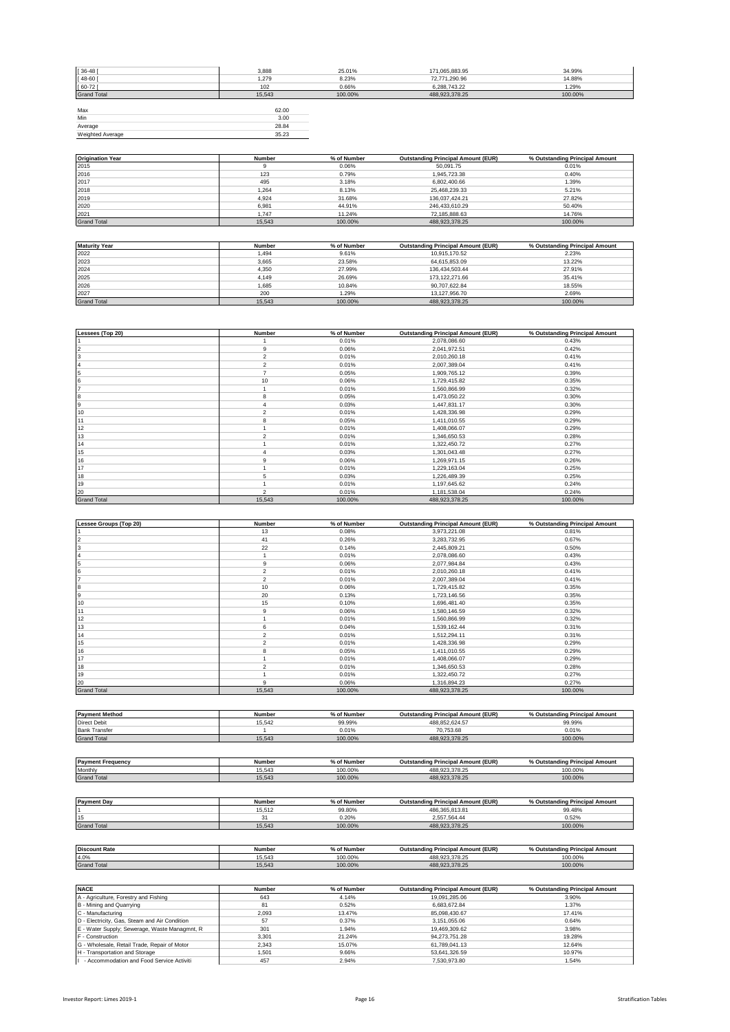| $[36 - 48]$        | 3,888  | 25.01%  | 171,065,883.95 | 34.99%  |
|--------------------|--------|---------|----------------|---------|
| $[48 - 60]$        | 1,279  | 8.23%   | 72,771,290.96  | 14.88%  |
| $[60 - 72]$        | 102    | 0.66%   | 6.288.743.22   | 1.29%   |
| <b>Grand Total</b> | 15,543 | 100.00% | 488,923,378.25 | 100.00% |
|                    |        |         |                |         |
| Max                | 62.00  |         |                |         |
| Min                | 3.00   |         |                |         |
| Average            | 28.84  |         |                |         |
| Weighted Average   | 35.23  |         |                |         |

| <b>Origination Year</b> | Number | % of Number | <b>Outstanding Principal Amount (EUR)</b> | % Outstanding Principal Amount |
|-------------------------|--------|-------------|-------------------------------------------|--------------------------------|
| 2015                    |        | 0.06%       | 50.091.75                                 | 0.01%                          |
| 2016                    | 123    | 0.79%       | 1.945.723.38                              | 0.40%                          |
| 2017                    | 495    | 3.18%       | 6.802.400.66                              | 1.39%                          |
| 2018                    | 1.264  | 8.13%       | 25.468.239.33                             | 5.21%                          |
| 2019                    | 4.924  | 31.68%      | 136,037,424.21                            | 27.82%                         |
| 2020                    | 6.981  | 44.91%      | 246.433.610.29                            | 50.40%                         |
| 2021                    | 1.747  | 11.24%      | 72.185.888.63                             | 14.76%                         |
| <b>Grand Total</b>      | 15.543 | 100.00%     | 488.923.378.25                            | 100.00%                        |

| <b>Maturity Year</b> | Number | % of Number | <b>Outstanding Principal Amount (EUR)</b> | % Outstanding Principal Amount |
|----------------------|--------|-------------|-------------------------------------------|--------------------------------|
| 2022                 | 1.494  | 9.61%       | 10.915.170.52                             | 2.23%                          |
| 2023                 | 3.665  | 23.58%      | 64.615.853.09                             | 13.22%                         |
| 2024                 | 4.350  | 27.99%      | 136.434.503.44                            | 27.91%                         |
| 2025                 | 4.149  | 26.69%      | 173.122.271.66                            | 35.41%                         |
| 2026                 | 1.685  | 10.84%      | 90.707.622.84                             | 18.55%                         |
| 2027                 | 200    | 1.29%       | 13.127.956.70                             | 2.69%                          |
| <b>Grand Total</b>   | 15.543 | 100.00%     | 488.923.378.25                            | 100.00%                        |

| Lessees (Top 20)   | Number         | % of Number | <b>Outstanding Principal Amount (EUR)</b> | % Outstanding Principal Amount |
|--------------------|----------------|-------------|-------------------------------------------|--------------------------------|
|                    |                | 0.01%       | 2,078,086.60                              | 0.43%                          |
| 2                  | 9              | 0.06%       | 2,041,972.51                              | 0.42%                          |
| 3                  | $\overline{2}$ | 0.01%       | 2,010,260.18                              | 0.41%                          |
|                    | $\overline{2}$ | 0.01%       | 2,007,389.04                              | 0.41%                          |
| 5                  | $\overline{z}$ | 0.05%       | 1,909,765.12                              | 0.39%                          |
| 6                  | 10             | 0.06%       | 1,729,415.82                              | 0.35%                          |
|                    |                | 0.01%       | 1,560,866.99                              | 0.32%                          |
| 8                  | 8              | 0.05%       | 1,473,050.22                              | 0.30%                          |
| 9                  |                | 0.03%       | 1,447,831.17                              | 0.30%                          |
| 10                 | $\mathfrak{p}$ | 0.01%       | 1,428,336.98                              | 0.29%                          |
| 11                 | 8              | 0.05%       | 1,411,010.55                              | 0.29%                          |
| 12                 |                | 0.01%       | 1,408,066.07                              | 0.29%                          |
| 13                 | $\mathfrak{p}$ | 0.01%       | 1,346,650.53                              | 0.28%                          |
| 14                 |                | 0.01%       | 1,322,450.72                              | 0.27%                          |
| 15                 |                | 0.03%       | 1,301,043.48                              | 0.27%                          |
| 16                 | 9              | 0.06%       | 1,269,971.15                              | 0.26%                          |
| 17                 |                | 0.01%       | 1,229,163.04                              | 0.25%                          |
| 18                 | 5              | 0.03%       | 1,226,489.39                              | 0.25%                          |
| 19                 |                | 0.01%       | 1,197,645.62                              | 0.24%                          |
| 20                 | $\mathfrak{p}$ | 0.01%       | 1,181,538.04                              | 0.24%                          |
| <b>Grand Total</b> | 15,543         | 100.00%     | 488,923,378.25                            | 100.00%                        |

| Lessee Groups (Top 20) | Number         | % of Number | <b>Outstanding Principal Amount (EUR)</b> | % Outstanding Principal Amount |
|------------------------|----------------|-------------|-------------------------------------------|--------------------------------|
|                        | 13             | 0.08%       | 3,973,221.08                              | 0.81%                          |
|                        | 41             | 0.26%       | 3,283,732.95                              | 0.67%                          |
|                        | 22             | 0.14%       | 2,445,809.21                              | 0.50%                          |
|                        |                | 0.01%       | 2,078,086.60                              | 0.43%                          |
|                        | 9              | 0.06%       | 2,077,984.84                              | 0.43%                          |
|                        | $\overline{2}$ | 0.01%       | 2,010,260.18                              | 0.41%                          |
|                        | $\overline{2}$ | 0.01%       | 2,007,389.04                              | 0.41%                          |
|                        | 10             | 0.06%       | 1,729,415.82                              | 0.35%                          |
|                        | 20             | 0.13%       | 1,723,146.56                              | 0.35%                          |
| 10                     | 15             | 0.10%       | 1,696,481.40                              | 0.35%                          |
| 11                     | 9              | 0.06%       | 1,580,146.59                              | 0.32%                          |
| 12                     |                | 0.01%       | 1,560,866.99                              | 0.32%                          |
| 13                     | 6              | 0.04%       | 1,539,162.44                              | 0.31%                          |
| 14                     | $\mathfrak{p}$ | 0.01%       | 1,512,294.11                              | 0.31%                          |
| 15                     | $\overline{2}$ | 0.01%       | 1,428,336.98                              | 0.29%                          |
| 16                     | 8              | 0.05%       | 1,411,010.55                              | 0.29%                          |
| 17                     |                | 0.01%       | 1,408,066.07                              | 0.29%                          |
| 18                     | $\overline{2}$ | 0.01%       | 1,346,650.53                              | 0.28%                          |
| 19                     |                | 0.01%       | 1,322,450.72                              | 0.27%                          |
| 20                     | 9              | 0.06%       | 1,316,894.23                              | 0.27%                          |
| <b>Grand Total</b>     | 15,543         | 100.00%     | 488,923,378.25                            | 100.00%                        |

| <b>Payment Method</b>    | <b>Number</b> | % of Number | <b>Outstanding Principal Amount (EUR)</b> | % Outstanding Principal Amount |
|--------------------------|---------------|-------------|-------------------------------------------|--------------------------------|
| <b>Direct Debit</b>      | 15.542        | 99.99%      | 488.852.624.57                            | 99.99%                         |
| <b>Bank Transfer</b>     |               | 0.01%       | 70.753.68                                 | 0.01%                          |
| <b>Grand Total</b>       | 15.543        | 100.00%     | 488.923.378.25                            | 100.00%                        |
|                          |               |             |                                           |                                |
|                          |               |             |                                           |                                |
| <b>Payment Frequency</b> | Number        | % of Number | <b>Outstanding Principal Amount (EUR)</b> | % Outstanding Principal Amount |

|                    | .      | .           |                                           |                                |
|--------------------|--------|-------------|-------------------------------------------|--------------------------------|
| Monthly            | 15.543 | 100.00%     | 488.923.378.25                            | 100.00%                        |
| <b>Grand Total</b> | 15.543 | 100.00%     | 488.923.378.25                            | 100.00%                        |
|                    |        |             |                                           |                                |
|                    |        |             |                                           |                                |
| <b>Payment Day</b> | Number | % of Number | <b>Outstanding Principal Amount (EUR)</b> | % Outstanding Principal Amount |
|                    | 15512  | 00.900      | 100 205 012 01                            | 00 400/                        |

|                      | 15.512        | 99.80%      | 486.365.813.81                            | 99.48%                         |
|----------------------|---------------|-------------|-------------------------------------------|--------------------------------|
| 15                   | 31            | 0.20%       | 2.557.564.44                              | 0.52%                          |
| <b>Grand Total</b>   | 15.543        | 100.00%     | 488.923.378.25                            | 100.00%                        |
|                      |               |             |                                           |                                |
|                      |               |             |                                           |                                |
|                      |               |             |                                           |                                |
| <b>Discount Rate</b> | <b>Number</b> | % of Number | <b>Outstanding Principal Amount (EUR)</b> | % Outstanding Principal Amount |
| 4.0%                 | 15.543        | 100.00%     | 488.923.378.25                            | 100.00%                        |

| <b>NACE</b>                                   | Number | % of Number | <b>Outstanding Principal Amount (EUR)</b> | % Outstanding Principal Amount |
|-----------------------------------------------|--------|-------------|-------------------------------------------|--------------------------------|
| A - Agriculture, Forestry and Fishing         | 643    | 4.14%       | 19.091.285.06                             | 3.90%                          |
| B - Mining and Quarrying                      | 81     | 0.52%       | 6.683.672.84                              | 1.37%                          |
| C - Manufacturing                             | 2.093  | 13.47%      | 85.098.430.67                             | 17.41%                         |
| D - Electricity, Gas, Steam and Air Condition | 57     | 0.37%       | 3.151.055.06                              | 0.64%                          |
| E - Water Supply; Sewerage, Waste Managmnt, R | 301    | 1.94%       | 19.469.309.62                             | 3.98%                          |
| F - Construction                              | 3.301  | 21.24%      | 94.273.751.28                             | 19.28%                         |
| G - Wholesale, Retail Trade, Repair of Motor  | 2.343  | 15.07%      | 61.789.041.13                             | 12.64%                         |
| H - Transportation and Storage                | 1.501  | 9.66%       | 53.641.326.59                             | 10.97%                         |
| - Accommodation and Food Service Activiti     | 457    | 2.94%       | 7.530.973.80                              | 1.54%                          |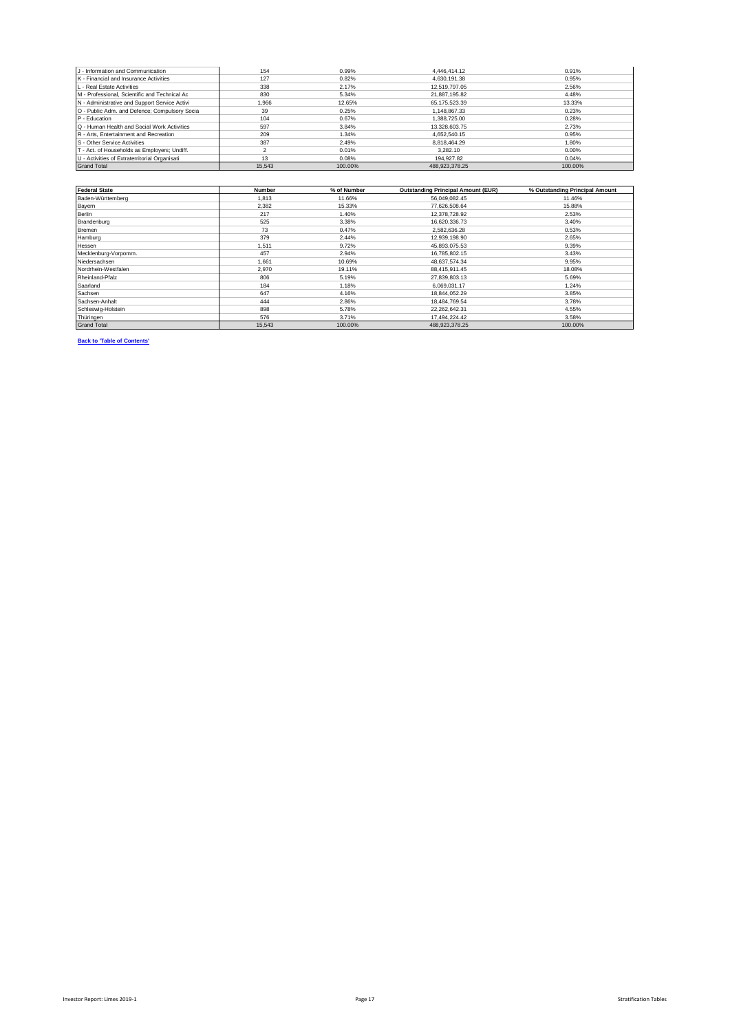| J - Information and Communication             | 154    | 0.99%   | 4.446.414.12   | 0.91%   |
|-----------------------------------------------|--------|---------|----------------|---------|
| K - Financial and Insurance Activities        | 127    | 0.82%   | 4.630.191.38   | 0.95%   |
| L - Real Estate Activities                    | 338    | 2.17%   | 12.519.797.05  | 2.56%   |
| M - Professional, Scientific and Technical Ac | 830    | 5.34%   | 21.887.195.82  | 4.48%   |
| N - Administrative and Support Service Activi | 1.966  | 12.65%  | 65.175.523.39  | 13.33%  |
| O - Public Adm. and Defence; Compulsory Socia | 39     | 0.25%   | 1.148.867.33   | 0.23%   |
| P - Education                                 | 104    | 0.67%   | 1.388.725.00   | 0.28%   |
| Q - Human Health and Social Work Activities   | 597    | 3.84%   | 13.328.603.75  | 2.73%   |
| R - Arts. Entertainment and Recreation        | 209    | 1.34%   | 4.652.540.15   | 0.95%   |
| S - Other Service Activities                  | 387    | 2.49%   | 8.818.464.29   | 1.80%   |
| T - Act. of Households as Employers; Undiff.  |        | 0.01%   | 3.282.10       | 0.00%   |
| U - Activities of Extraterritorial Organisati | 13     | 0.08%   | 194.927.82     | 0.04%   |
| <b>Grand Total</b>                            | 15.543 | 100.00% | 488.923.378.25 | 100.00% |

| <b>Federal State</b> | <b>Number</b> | % of Number | <b>Outstanding Principal Amount (EUR)</b> | % Outstanding Principal Amount |
|----------------------|---------------|-------------|-------------------------------------------|--------------------------------|
| Baden-Württemberg    | 1.813         | 11.66%      | 56.049.082.45                             | 11.46%                         |
| Bayern               | 2.382         | 15.33%      | 77,626,508.64                             | 15.88%                         |
| <b>Berlin</b>        | 217           | 1.40%       | 12,378,728.92                             | 2.53%                          |
| Brandenburg          | 525           | 3.38%       | 16,620,336.73                             | 3.40%                          |
| Bremen               | 73            | 0.47%       | 2,582,636.28                              | 0.53%                          |
| Hamburg              | 379           | 2.44%       | 12,939,198.90                             | 2.65%                          |
| Hessen               | 1.511         | 9.72%       | 45,893,075.53                             | 9.39%                          |
| Mecklenburg-Vorpomm. | 457           | 2.94%       | 16,785,802.15                             | 3.43%                          |
| Niedersachsen        | 1.661         | 10.69%      | 48.637.574.34                             | 9.95%                          |
| Nordrhein-Westfalen  | 2,970         | 19.11%      | 88,415,911.45                             | 18.08%                         |
| Rheinland-Pfalz      | 806           | 5.19%       | 27,839,803.13                             | 5.69%                          |
| Saarland             | 184           | 1.18%       | 6.069.031.17                              | 1.24%                          |
| Sachsen              | 647           | 4.16%       | 18.844.052.29                             | 3.85%                          |
| Sachsen-Anhalt       | 444           | 2.86%       | 18,484,769.54                             | 3.78%                          |
| Schleswig-Holstein   | 898           | 5.78%       | 22,262,642.31                             | 4.55%                          |
| Thüringen            | 576           | 3.71%       | 17.494.224.42                             | 3.58%                          |
| <b>Grand Total</b>   | 15,543        | 100.00%     | 488,923,378.25                            | 100.00%                        |